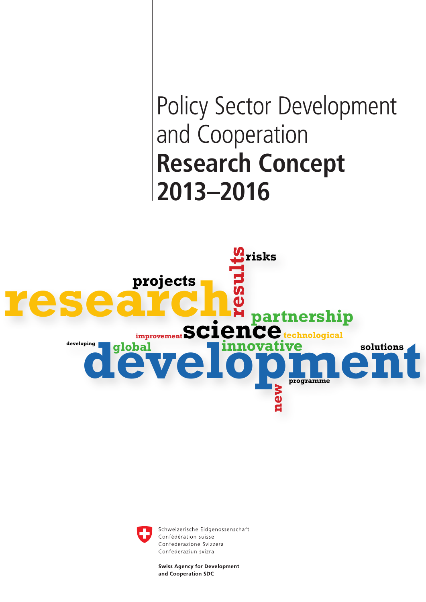# Policy Sector Development and Cooperation **Research Concept 2013–2016**





Schweizerische Eidgenossenschaft Confédération suisse Confederazione Svizzera Confederaziun svizra

**Swiss Agency for Development** and Cooperation SDC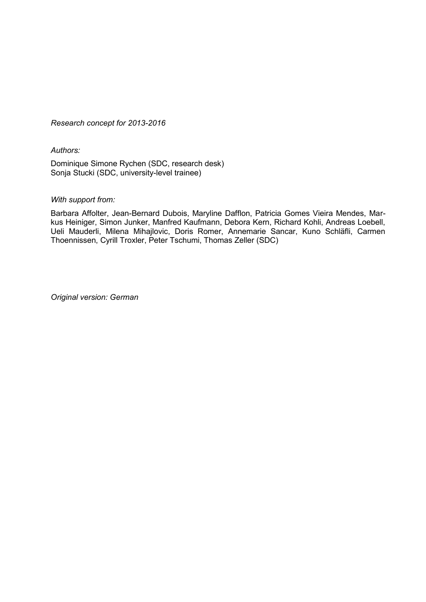*Research concept for 2013-2016* 

*Authors:*

Dominique Simone Rychen (SDC, research desk) Sonja Stucki (SDC, university-level trainee)

#### *With support from:*

Barbara Affolter, Jean-Bernard Dubois, Maryline Dafflon, Patricia Gomes Vieira Mendes, Markus Heiniger, Simon Junker, Manfred Kaufmann, Debora Kern, Richard Kohli, Andreas Loebell, Ueli Mauderli, Milena Mihajlovic, Doris Romer, Annemarie Sancar, Kuno Schläfli, Carmen Thoennissen, Cyrill Troxler, Peter Tschumi, Thomas Zeller (SDC)

*Original version: German*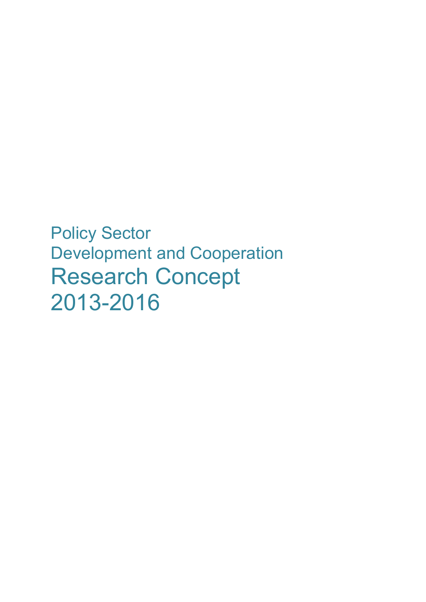Policy Sector Development and Cooperation Research Concept 2013-2016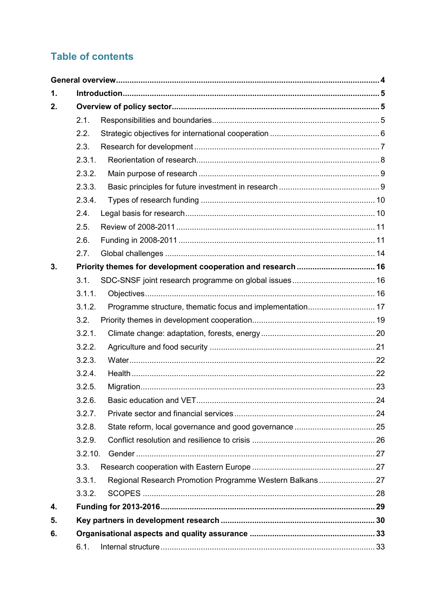# **Table of contents**

| 1. |         |                                                              |  |  |  |
|----|---------|--------------------------------------------------------------|--|--|--|
| 2. |         |                                                              |  |  |  |
|    | 2.1.    |                                                              |  |  |  |
|    | 2.2.    |                                                              |  |  |  |
|    | 2.3.    |                                                              |  |  |  |
|    | 2.3.1.  |                                                              |  |  |  |
|    | 2.3.2.  |                                                              |  |  |  |
|    | 2.3.3.  |                                                              |  |  |  |
|    | 2.3.4.  |                                                              |  |  |  |
|    | 2.4.    |                                                              |  |  |  |
|    | 2.5.    |                                                              |  |  |  |
|    | 2.6.    |                                                              |  |  |  |
|    | 2.7.    |                                                              |  |  |  |
| 3. |         | Priority themes for development cooperation and research  16 |  |  |  |
|    | 3.1.    |                                                              |  |  |  |
|    | 3.1.1.  |                                                              |  |  |  |
|    | 3.1.2.  | Programme structure, thematic focus and implementation 17    |  |  |  |
|    | 3.2.    |                                                              |  |  |  |
|    | 3.2.1.  |                                                              |  |  |  |
|    | 3.2.2.  |                                                              |  |  |  |
|    | 3.2.3.  |                                                              |  |  |  |
|    | 3.2.4.  |                                                              |  |  |  |
|    | 3.2.5.  |                                                              |  |  |  |
|    | 3.2.6.  |                                                              |  |  |  |
|    | 3.2.7.  |                                                              |  |  |  |
|    | 3.2.8.  |                                                              |  |  |  |
|    | 3.2.9.  |                                                              |  |  |  |
|    | 3.2.10. |                                                              |  |  |  |
|    | 3.3.    |                                                              |  |  |  |
|    | 3.3.1.  | Regional Research Promotion Programme Western Balkans 27     |  |  |  |
|    | 3.3.2.  |                                                              |  |  |  |
| 4. |         |                                                              |  |  |  |
| 5. |         |                                                              |  |  |  |
| 6. |         |                                                              |  |  |  |
|    | 6.1.    |                                                              |  |  |  |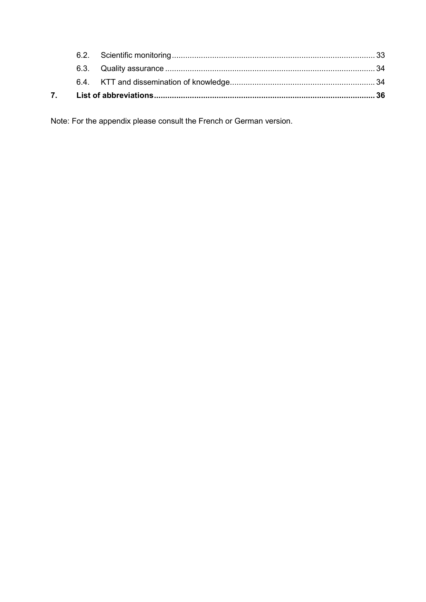Note: For the appendix please consult the French or German version.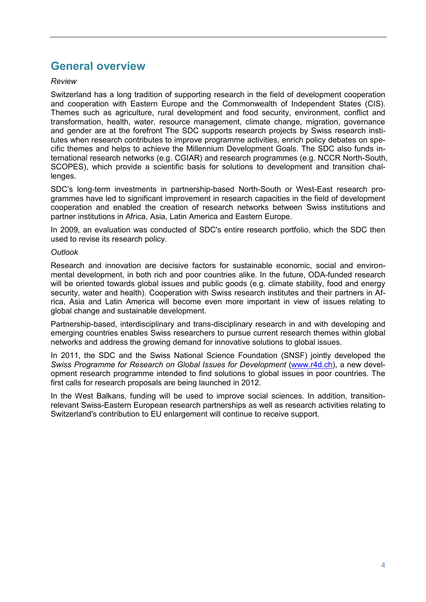# **General overview**

#### *Review*

Switzerland has a long tradition of supporting research in the field of development cooperation and cooperation with Eastern Europe and the Commonwealth of Independent States (CIS). Themes such as agriculture, rural development and food security, environment, conflict and transformation, health, water, resource management, climate change, migration, governance and gender are at the forefront The SDC supports research projects by Swiss research institutes when research contributes to improve programme activities, enrich policy debates on specific themes and helps to achieve the Millennium Development Goals. The SDC also funds international research networks (e.g. CGIAR) and research programmes (e.g. NCCR North-South, SCOPES), which provide a scientific basis for solutions to development and transition challenges.

SDC's long-term investments in partnership-based North-South or West-East research programmes have led to significant improvement in research capacities in the field of development cooperation and enabled the creation of research networks between Swiss institutions and partner institutions in Africa, Asia, Latin America and Eastern Europe.

In 2009, an evaluation was conducted of SDC's entire research portfolio, which the SDC then used to revise its research policy.

#### *Outlook*

Research and innovation are decisive factors for sustainable economic, social and environmental development, in both rich and poor countries alike. In the future, ODA-funded research will be oriented towards global issues and public goods (e.g. climate stability, food and energy security, water and health). Cooperation with Swiss research institutes and their partners in Africa, Asia and Latin America will become even more important in view of issues relating to global change and sustainable development.

Partnership-based, interdisciplinary and trans-disciplinary research in and with developing and emerging countries enables Swiss researchers to pursue current research themes within global networks and address the growing demand for innovative solutions to global issues.

In 2011, the SDC and the Swiss National Science Foundation (SNSF) jointly developed the *Swiss Programme for Research on Global Issues for Development* (www.r4d.ch), a new development research programme intended to find solutions to global issues in poor countries. The first calls for research proposals are being launched in 2012.

In the West Balkans, funding will be used to improve social sciences. In addition, transitionrelevant Swiss-Eastern European research partnerships as well as research activities relating to Switzerland's contribution to EU enlargement will continue to receive support.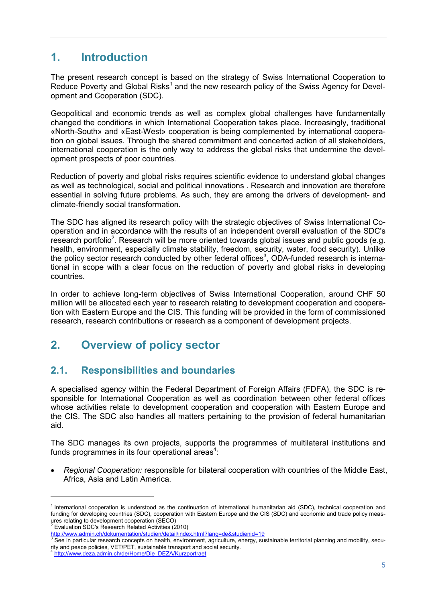# **1. Introduction**

The present research concept is based on the strategy of Swiss International Cooperation to Reduce Poverty and Global Risks<sup>1</sup> and the new research policy of the Swiss Agency for Development and Cooperation (SDC).

Geopolitical and economic trends as well as complex global challenges have fundamentally changed the conditions in which International Cooperation takes place. Increasingly, traditional «North-South» and «East-West» cooperation is being complemented by international cooperation on global issues. Through the shared commitment and concerted action of all stakeholders, international cooperation is the only way to address the global risks that undermine the development prospects of poor countries.

Reduction of poverty and global risks requires scientific evidence to understand global changes as well as technological, social and political innovations . Research and innovation are therefore essential in solving future problems. As such, they are among the drivers of development- and climate-friendly social transformation.

The SDC has aligned its research policy with the strategic objectives of Swiss International Cooperation and in accordance with the results of an independent overall evaluation of the SDC's research portfolio<sup>2</sup>. Research will be more oriented towards global issues and public goods (e.g. health, environment, especially climate stability, freedom, security, water, food security). Unlike the policy sector research conducted by other federal offices<sup>3</sup>, ODA-funded research is international in scope with a clear focus on the reduction of poverty and global risks in developing countries.

In order to achieve long-term objectives of Swiss International Cooperation, around CHF 50 million will be allocated each year to research relating to development cooperation and cooperation with Eastern Europe and the CIS. This funding will be provided in the form of commissioned research, research contributions or research as a component of development projects.

# **2. Overview of policy sector**

# **2.1. Responsibilities and boundaries**

A specialised agency within the Federal Department of Foreign Affairs (FDFA), the SDC is responsible for International Cooperation as well as coordination between other federal offices whose activities relate to development cooperation and cooperation with Eastern Europe and the CIS. The SDC also handles all matters pertaining to the provision of federal humanitarian aid.

The SDC manages its own projects, supports the programmes of multilateral institutions and funds programmes in its four operational areas<sup>4</sup>:

 *Regional Cooperation:* responsible for bilateral cooperation with countries of the Middle East, Africa, Asia and Latin America.

<sup>1</sup> International cooperation is understood as the continuation of international humanitarian aid (SDC), technical cooperation and funding for developing countries (SDC), cooperation with Eastern Europe and the CIS (SDC) and economic and trade policy measures relating to development cooperation (SECO)<sup>2</sup><br>Evaluation SDC's Research Related Activities (2010)<sup>2</sup>

http://www.admin.ch/dokumentation/studien/detail/index.html?lang=de&studienid=19<br>
<sup>3</sup> See in particular research concepts on health, environment, agriculture, energy, sustainable territorial planning and mobility, security and peace policies, VET/PET, sustainable transport and social security.

http://www.deza.admin.ch/de/Home/Die\_DEZA/Kurzportraet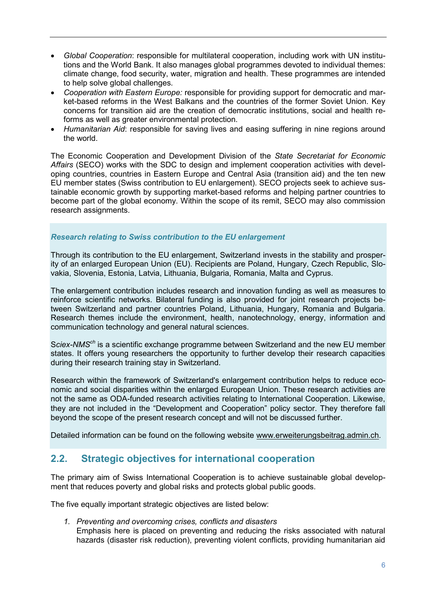- *Global Cooperation*: responsible for multilateral cooperation, including work with UN institutions and the World Bank. It also manages global programmes devoted to individual themes: climate change, food security, water, migration and health. These programmes are intended to help solve global challenges.
- *Cooperation with Eastern Europe:* responsible for providing support for democratic and market-based reforms in the West Balkans and the countries of the former Soviet Union. Key concerns for transition aid are the creation of democratic institutions, social and health reforms as well as greater environmental protection.
- *Humanitarian Aid*: responsible for saving lives and easing suffering in nine regions around the world.

The Economic Cooperation and Development Division of the *State Secretariat for Economic Affairs* (SECO) works with the SDC to design and implement cooperation activities with developing countries, countries in Eastern Europe and Central Asia (transition aid) and the ten new EU member states (Swiss contribution to EU enlargement). SECO projects seek to achieve sustainable economic growth by supporting market-based reforms and helping partner countries to become part of the global economy. Within the scope of its remit, SECO may also commission research assignments.

#### *Research relating to Swiss contribution to the EU enlargement*

Through its contribution to the EU enlargement, Switzerland invests in the stability and prosperity of an enlarged European Union (EU). Recipients are Poland, Hungary, Czech Republic, Slovakia, Slovenia, Estonia, Latvia, Lithuania, Bulgaria, Romania, Malta and Cyprus.

The enlargement contribution includes research and innovation funding as well as measures to reinforce scientific networks. Bilateral funding is also provided for joint research projects between Switzerland and partner countries Poland, Lithuania, Hungary, Romania and Bulgaria. Research themes include the environment, health, nanotechnology, energy, information and communication technology and general natural sciences.

S*ciex-NMSch* is a scientific exchange programme between Switzerland and the new EU member states. It offers young researchers the opportunity to further develop their research capacities during their research training stay in Switzerland.

Research within the framework of Switzerland's enlargement contribution helps to reduce economic and social disparities within the enlarged European Union. These research activities are not the same as ODA-funded research activities relating to International Cooperation. Likewise, they are not included in the "Development and Cooperation" policy sector. They therefore fall beyond the scope of the present research concept and will not be discussed further.

Detailed information can be found on the following website www.erweiterungsbeitrag.admin.ch.

# **2.2. Strategic objectives for international cooperation**

The primary aim of Swiss International Cooperation is to achieve sustainable global development that reduces poverty and global risks and protects global public goods.

The five equally important strategic objectives are listed below:

*1. Preventing and overcoming crises, conflicts and disasters* 

Emphasis here is placed on preventing and reducing the risks associated with natural hazards (disaster risk reduction), preventing violent conflicts, providing humanitarian aid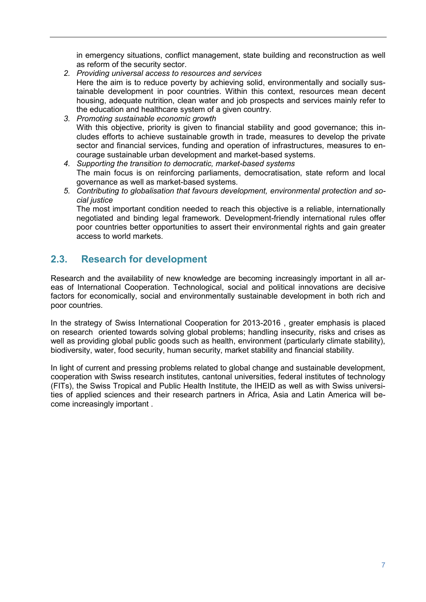in emergency situations, conflict management, state building and reconstruction as well as reform of the security sector.

- *2. Providing universal access to resources and services*  Here the aim is to reduce poverty by achieving solid, environmentally and socially sustainable development in poor countries. Within this context, resources mean decent housing, adequate nutrition, clean water and job prospects and services mainly refer to the education and healthcare system of a given country.
- *3. Promoting sustainable economic growth* With this objective, priority is given to financial stability and good governance; this includes efforts to achieve sustainable growth in trade, measures to develop the private sector and financial services, funding and operation of infrastructures, measures to encourage sustainable urban development and market-based systems.
- *4. Supporting the transition to democratic, market-based systems*  The main focus is on reinforcing parliaments, democratisation, state reform and local governance as well as market-based systems.
- *5. Contributing to globalisation that favours development, environmental protection and social justice*

The most important condition needed to reach this objective is a reliable, internationally negotiated and binding legal framework. Development-friendly international rules offer poor countries better opportunities to assert their environmental rights and gain greater access to world markets.

# **2.3. Research for development**

Research and the availability of new knowledge are becoming increasingly important in all areas of International Cooperation. Technological, social and political innovations are decisive factors for economically, social and environmentally sustainable development in both rich and poor countries.

In the strategy of Swiss International Cooperation for 2013-2016 , greater emphasis is placed on research oriented towards solving global problems; handling insecurity, risks and crises as well as providing global public goods such as health, environment (particularly climate stability), biodiversity, water, food security, human security, market stability and financial stability.

In light of current and pressing problems related to global change and sustainable development, cooperation with Swiss research institutes, cantonal universities, federal institutes of technology (FITs), the Swiss Tropical and Public Health Institute, the IHEID as well as with Swiss universities of applied sciences and their research partners in Africa, Asia and Latin America will become increasingly important .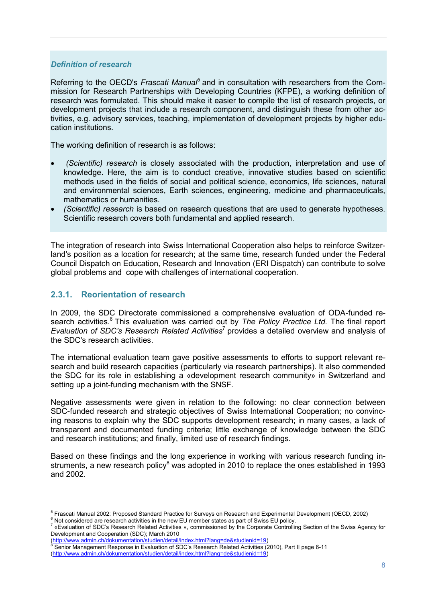#### *Definition of research*

Referring to the OECD's *Frascati Manual*<sup>5</sup> and in consultation with researchers from the Commission for Research Partnerships with Developing Countries (KFPE), a working definition of research was formulated. This should make it easier to compile the list of research projects, or development projects that include a research component, and distinguish these from other activities, e.g. advisory services, teaching, implementation of development projects by higher education institutions.

The working definition of research is as follows:

- *(Scientific) research* is closely associated with the production, interpretation and use of knowledge. Here, the aim is to conduct creative, innovative studies based on scientific methods used in the fields of social and political science, economics, life sciences, natural and environmental sciences, Earth sciences, engineering, medicine and pharmaceuticals, mathematics or humanities.
- *(Scientific) research* is based on research questions that are used to generate hypotheses. Scientific research covers both fundamental and applied research.

The integration of research into Swiss International Cooperation also helps to reinforce Switzerland's position as a location for research; at the same time, research funded under the Federal Council Dispatch on Education, Research and Innovation (ERI Dispatch) can contribute to solve global problems and cope with challenges of international cooperation.

#### **2.3.1. Reorientation of research**

 $\overline{a}$ 

In 2009, the SDC Directorate commissioned a comprehensive evaluation of ODA-funded research activities.<sup>6</sup> This evaluation was carried out by *The Policy Practice Ltd.* The final report *Evaluation of SDC's Research Related Activities*<sup>7</sup> provides a detailed overview and analysis of the SDC's research activities.

The international evaluation team gave positive assessments to efforts to support relevant research and build research capacities (particularly via research partnerships). It also commended the SDC for its role in establishing a «development research community» in Switzerland and setting up a joint-funding mechanism with the SNSF*.*

Negative assessments were given in relation to the following: no clear connection between SDC-funded research and strategic objectives of Swiss International Cooperation; no convincing reasons to explain why the SDC supports development research; in many cases, a lack of transparent and documented funding criteria; little exchange of knowledge between the SDC and research institutions; and finally, limited use of research findings.

Based on these findings and the long experience in working with various research funding instruments, a new research policy<sup>8</sup> was adopted in 2010 to replace the ones established in 1993 and 2002.

 $^5$  Frascati Manual 2002: Proposed Standard Practice for Surveys on Research and Experimental Development (OECD, 2002)<br>  $^6$  Not considered are research activities in the new EU member states as part of Swiss EU policy.

<sup>«</sup>Evaluation of SDC's Research Related Activities «, commissioned by the Corporate Controlling Section of the Swiss Agency for Development and Cooperation (SDC); March 2010

<sup>(</sup>http://www.admin.ch/dokumentation/studien/detail/index.html?lang=de&studienid=19) <sup>8</sup> Senior Management Response in Evaluation of SDC's Research Related Activities (2010), Part II page 6-11 (http://www.admin.ch/dokumentation/studien/detail/index.html?lang=de&studienid=19)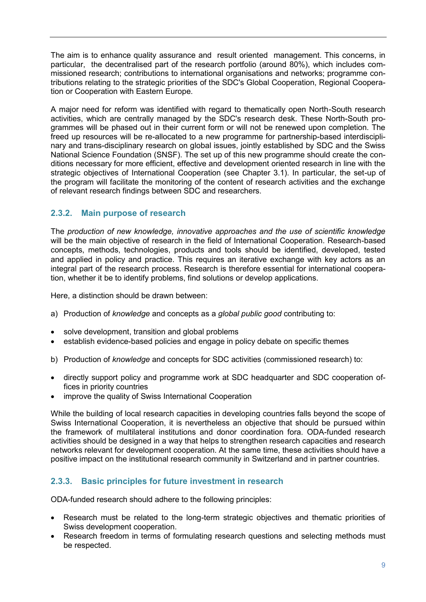The aim is to enhance quality assurance and result oriented management. This concerns, in particular, the decentralised part of the research portfolio (around 80%), which includes commissioned research; contributions to international organisations and networks; programme contributions relating to the strategic priorities of the SDC's Global Cooperation, Regional Cooperation or Cooperation with Eastern Europe.

A major need for reform was identified with regard to thematically open North-South research activities, which are centrally managed by the SDC's research desk. These North-South programmes will be phased out in their current form or will not be renewed upon completion. The freed up resources will be re-allocated to a new programme for partnership-based interdisciplinary and trans-disciplinary research on global issues, jointly established by SDC and the Swiss National Science Foundation (SNSF). The set up of this new programme should create the conditions necessary for more efficient, effective and development oriented research in line with the strategic objectives of International Cooperation (see Chapter 3.1). In particular, the set-up of the program will facilitate the monitoring of the content of research activities and the exchange of relevant research findings between SDC and researchers.

#### **2.3.2. Main purpose of research**

The *production of new knowledge, innovative approaches and the use of scientific knowledge* will be the main objective of research in the field of International Cooperation. Research-based concepts, methods, technologies, products and tools should be identified, developed, tested and applied in policy and practice. This requires an iterative exchange with key actors as an integral part of the research process. Research is therefore essential for international cooperation, whether it be to identify problems, find solutions or develop applications.

Here, a distinction should be drawn between:

- a) Production of *knowledge* and concepts as a *global public good* contributing to:
- solve development, transition and global problems
- establish evidence-based policies and engage in policy debate on specific themes
- b) Production of *knowledge* and concepts for SDC activities (commissioned research) to:
- directly support policy and programme work at SDC headquarter and SDC cooperation offices in priority countries
- improve the quality of Swiss International Cooperation

While the building of local research capacities in developing countries falls beyond the scope of Swiss International Cooperation, it is nevertheless an objective that should be pursued within the framework of multilateral institutions and donor coordination fora. ODA-funded research activities should be designed in a way that helps to strengthen research capacities and research networks relevant for development cooperation. At the same time, these activities should have a positive impact on the institutional research community in Switzerland and in partner countries.

#### **2.3.3. Basic principles for future investment in research**

ODA-funded research should adhere to the following principles:

- Research must be related to the long-term strategic objectives and thematic priorities of Swiss development cooperation.
- Research freedom in terms of formulating research questions and selecting methods must be respected.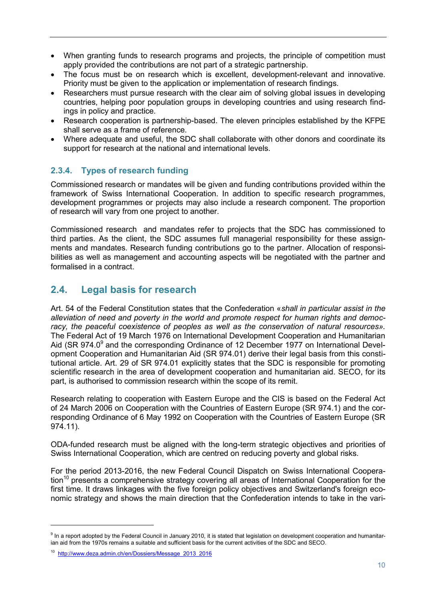- When granting funds to research programs and projects, the principle of competition must apply provided the contributions are not part of a strategic partnership.
- The focus must be on research which is excellent, development-relevant and innovative. Priority must be given to the application or implementation of research findings.
- Researchers must pursue research with the clear aim of solving global issues in developing countries, helping poor population groups in developing countries and using research findings in policy and practice.
- Research cooperation is partnership-based. The eleven principles established by the KFPE shall serve as a frame of reference.
- Where adequate and useful, the SDC shall collaborate with other donors and coordinate its support for research at the national and international levels.

### **2.3.4. Types of research funding**

Commissioned research or mandates will be given and funding contributions provided within the framework of Swiss International Cooperation. In addition to specific research programmes, development programmes or projects may also include a research component. The proportion of research will vary from one project to another.

Commissioned research and mandates refer to projects that the SDC has commissioned to third parties. As the client, the SDC assumes full managerial responsibility for these assignments and mandates. Research funding contributions go to the partner. Allocation of responsibilities as well as management and accounting aspects will be negotiated with the partner and formalised in a contract.

# **2.4. Legal basis for research**

Art. 54 of the Federal Constitution states that the Confederation «*shall in particular assist in the alleviation of need and poverty in the world and promote respect for human rights and democracy, the peaceful coexistence of peoples as well as the conservation of natural resources».* The Federal Act of 19 March 1976 on International Development Cooperation and Humanitarian Aid (SR 974.0 $^9$  and the corresponding Ordinance of 12 December 1977 on International Development Cooperation and Humanitarian Aid (SR 974.01) derive their legal basis from this constitutional article. Art. 29 of SR 974.01 explicitly states that the SDC is responsible for promoting scientific research in the area of development cooperation and humanitarian aid. SECO, for its part, is authorised to commission research within the scope of its remit.

Research relating to cooperation with Eastern Europe and the CIS is based on the Federal Act of 24 March 2006 on Cooperation with the Countries of Eastern Europe (SR 974.1) and the corresponding Ordinance of 6 May 1992 on Cooperation with the Countries of Eastern Europe (SR 974.11).

ODA-funded research must be aligned with the long-term strategic objectives and priorities of Swiss International Cooperation, which are centred on reducing poverty and global risks.

For the period 2013-2016, the new Federal Council Dispatch on Swiss International Coopera- $\mu$  tion<sup>10</sup> presents a comprehensive strategy covering all areas of International Cooperation for the first time. It draws linkages with the five foreign policy objectives and Switzerland's foreign economic strategy and shows the main direction that the Confederation intends to take in the vari-

<sup>&</sup>lt;sup>9</sup> In a report adopted by the Federal Council in January 2010, it is stated that legislation on development cooperation and humanitarian aid from the 1970s remains a suitable and sufficient basis for the current activities of the SDC and SECO.

<sup>10</sup> http://www.deza.admin.ch/en/Dossiers/Message\_2013\_2016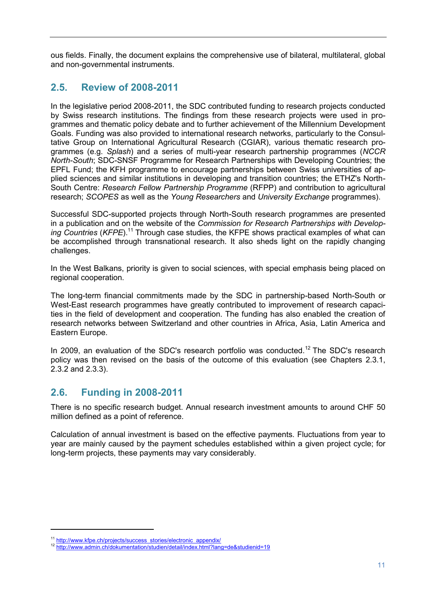ous fields. Finally, the document explains the comprehensive use of bilateral, multilateral, global and non-governmental instruments.

# **2.5. Review of 2008-2011**

In the legislative period 2008-2011, the SDC contributed funding to research projects conducted by Swiss research institutions. The findings from these research projects were used in programmes and thematic policy debate and to further achievement of the Millennium Development Goals. Funding was also provided to international research networks, particularly to the Consultative Group on International Agricultural Research (CGIAR), various thematic research programmes (e.g. *Splash*) and a series of multi-year research partnership programmes (*NCCR North-South*; SDC-SNSF Programme for Research Partnerships with Developing Countries; the EPFL Fund; the KFH programme to encourage partnerships between Swiss universities of applied sciences and similar institutions in developing and transition countries; the ETHZ's North-South Centre: *Research Fellow Partnership Programme* (RFPP) and contribution to agricultural research; *SCOPES* as well as the *Young Researchers* and *University Exchange* programmes).

Successful SDC-supported projects through North-South research programmes are presented in a publication and on the website of the *Commission for Research Partnerships with Develop*ing Countries (KFPE).<sup>11</sup> Through case studies, the KFPE shows practical examples of what can be accomplished through transnational research. It also sheds light on the rapidly changing challenges.

In the West Balkans, priority is given to social sciences, with special emphasis being placed on regional cooperation.

The long-term financial commitments made by the SDC in partnership-based North-South or West-East research programmes have greatly contributed to improvement of research capacities in the field of development and cooperation. The funding has also enabled the creation of research networks between Switzerland and other countries in Africa, Asia, Latin America and Eastern Europe.

In 2009, an evaluation of the SDC's research portfolio was conducted.<sup>12</sup> The SDC's research policy was then revised on the basis of the outcome of this evaluation (see Chapters 2.3.1, 2.3.2 and 2.3.3).

# **2.6. Funding in 2008-2011**

There is no specific research budget. Annual research investment amounts to around CHF 50 million defined as a point of reference.

Calculation of annual investment is based on the effective payments. Fluctuations from year to year are mainly caused by the payment schedules established within a given project cycle; for long-term projects, these payments may vary considerably.

<sup>&</sup>lt;sup>11</sup> http://www.kfpe.ch/projects/success\_stories/electronic\_appendix/<br><sup>12</sup> http://www.admin.ch/dokumentation/studien/detail/index.html?lang=de&studienid=19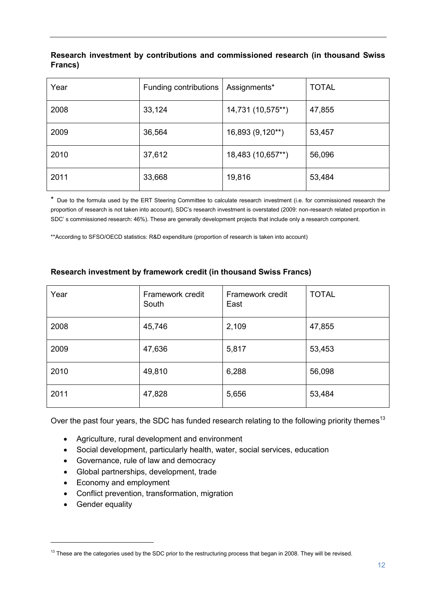#### **Research investment by contributions and commissioned research (in thousand Swiss Francs)**

| Year | Funding contributions | Assignments*      | <b>TOTAL</b> |
|------|-----------------------|-------------------|--------------|
| 2008 | 33,124                | 14,731 (10,575**) | 47,855       |
| 2009 | 36,564                | 16,893 (9,120**)  | 53,457       |
| 2010 | 37,612                | 18,483 (10,657**) | 56,096       |
| 2011 | 33,668                | 19,816            | 53,484       |

\* Due to the formula used by the ERT Steering Committee to calculate research investment (i.e. for commissioned research the proportion of research is not taken into account), SDC's research investment is overstated (2009: non-research related proportion in SDC' s commissioned research: 46%). These are generally development projects that include only a research component.

\*\*According to SFSO/OECD statistics: R&D expenditure (proportion of research is taken into account)

| Year | Framework credit<br>South | Framework credit<br>East | <b>TOTAL</b> |
|------|---------------------------|--------------------------|--------------|
| 2008 | 45,746                    | 2,109                    | 47,855       |
| 2009 | 47,636                    | 5,817                    | 53,453       |
| 2010 | 49,810                    | 6,288                    | 56,098       |
| 2011 | 47,828                    | 5,656                    | 53,484       |

#### **Research investment by framework credit (in thousand Swiss Francs)**

Over the past four years, the SDC has funded research relating to the following priority themes<sup>13</sup>

- Agriculture, rural development and environment
- Social development, particularly health, water, social services, education
- Governance, rule of law and democracy
- Global partnerships, development, trade
- Economy and employment
- Conflict prevention, transformation, migration
- Gender equality

 $13$  These are the categories used by the SDC prior to the restructuring process that began in 2008. They will be revised.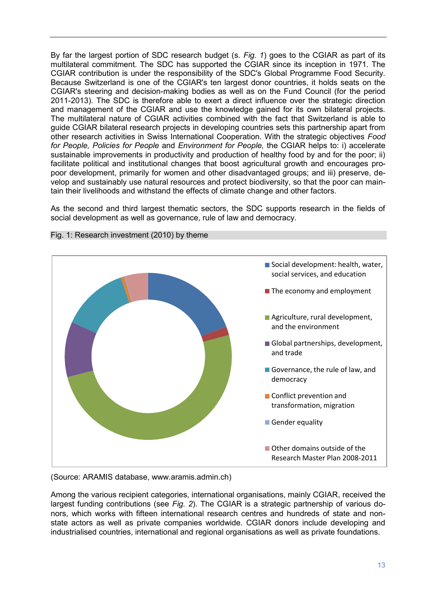By far the largest portion of SDC research budget (s. *Fig. 1*) goes to the CGIAR as part of its multilateral commitment. The SDC has supported the CGIAR since its inception in 1971. The CGIAR contribution is under the responsibility of the SDC's Global Programme Food Security. Because Switzerland is one of the CGIAR's ten largest donor countries, it holds seats on the CGIAR's steering and decision-making bodies as well as on the Fund Council (for the period 2011-2013). The SDC is therefore able to exert a direct influence over the strategic direction and management of the CGIAR and use the knowledge gained for its own bilateral projects. The multilateral nature of CGIAR activities combined with the fact that Switzerland is able to guide CGIAR bilateral research projects in developing countries sets this partnership apart from other research activities in Swiss International Cooperation. With the strategic objectives *Food for People, Policies for People* and *Environment for People,* the CGIAR helps to: i) accelerate sustainable improvements in productivity and production of healthy food by and for the poor; ii) facilitate political and institutional changes that boost agricultural growth and encourages propoor development, primarily for women and other disadvantaged groups; and iii) preserve, develop and sustainably use natural resources and protect biodiversity, so that the poor can maintain their livelihoods and withstand the effects of climate change and other factors.

As the second and third largest thematic sectors, the SDC supports research in the fields of social development as well as governance, rule of law and democracy.



Fig. 1: Research investment (2010) by theme

(Source: ARAMIS database, www.aramis.admin.ch)

Among the various recipient categories, international organisations, mainly CGIAR, received the largest funding contributions (see *Fig. 2*). The CGIAR is a strategic partnership of various donors, which works with fifteen international research centres and hundreds of state and nonstate actors as well as private companies worldwide. CGIAR donors include developing and industrialised countries, international and regional organisations as well as private foundations.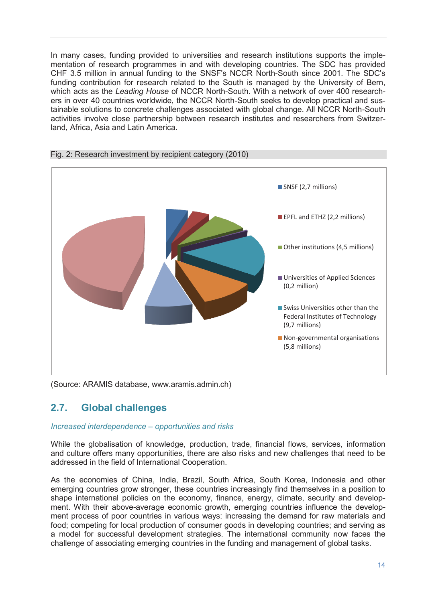In many cases, funding provided to universities and research institutions supports the implementation of research programmes in and with developing countries. The SDC has provided CHF 3.5 million in annual funding to the SNSF's NCCR North-South since 2001. The SDC's funding contribution for research related to the South is managed by the University of Bern, which acts as the *Leading House* of NCCR North-South. With a network of over 400 researchers in over 40 countries worldwide, the NCCR North-South seeks to develop practical and sustainable solutions to concrete challenges associated with global change. All NCCR North-South activities involve close partnership between research institutes and researchers from Switzerland, Africa, Asia and Latin America.



#### Fig. 2: Research investment by recipient category (2010)

(Source: ARAMIS database, www.aramis.admin.ch)

# **2.7. Global challenges**

#### *Increased interdependence – opportunities and risks*

While the globalisation of knowledge, production, trade, financial flows, services, information and culture offers many opportunities, there are also risks and new challenges that need to be addressed in the field of International Cooperation.

As the economies of China, India, Brazil, South Africa, South Korea, Indonesia and other emerging countries grow stronger, these countries increasingly find themselves in a position to shape international policies on the economy, finance, energy, climate, security and development. With their above-average economic growth, emerging countries influence the development process of poor countries in various ways: increasing the demand for raw materials and food; competing for local production of consumer goods in developing countries; and serving as a model for successful development strategies. The international community now faces the challenge of associating emerging countries in the funding and management of global tasks.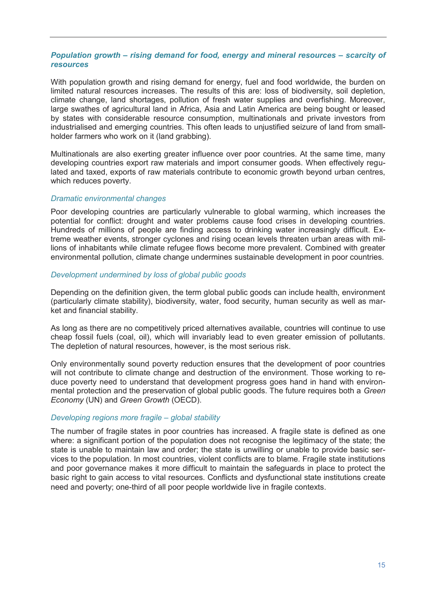#### *Population growth – rising demand for food, energy and mineral resources – scarcity of resources*

With population growth and rising demand for energy, fuel and food worldwide, the burden on limited natural resources increases. The results of this are: loss of biodiversity, soil depletion, climate change, land shortages, pollution of fresh water supplies and overfishing. Moreover, large swathes of agricultural land in Africa, Asia and Latin America are being bought or leased by states with considerable resource consumption, multinationals and private investors from industrialised and emerging countries. This often leads to unjustified seizure of land from smallholder farmers who work on it (land grabbing).

Multinationals are also exerting greater influence over poor countries. At the same time, many developing countries export raw materials and import consumer goods. When effectively regulated and taxed, exports of raw materials contribute to economic growth beyond urban centres, which reduces poverty.

#### *Dramatic environmental changes*

Poor developing countries are particularly vulnerable to global warming, which increases the potential for conflict: drought and water problems cause food crises in developing countries. Hundreds of millions of people are finding access to drinking water increasingly difficult. Extreme weather events, stronger cyclones and rising ocean levels threaten urban areas with millions of inhabitants while climate refugee flows become more prevalent. Combined with greater environmental pollution, climate change undermines sustainable development in poor countries.

#### *Development undermined by loss of global public goods*

Depending on the definition given, the term global public goods can include health, environment (particularly climate stability), biodiversity, water, food security, human security as well as market and financial stability.

As long as there are no competitively priced alternatives available, countries will continue to use cheap fossil fuels (coal, oil), which will invariably lead to even greater emission of pollutants. The depletion of natural resources, however, is the most serious risk.

Only environmentally sound poverty reduction ensures that the development of poor countries will not contribute to climate change and destruction of the environment. Those working to reduce poverty need to understand that development progress goes hand in hand with environmental protection and the preservation of global public goods. The future requires both a *Green Economy* (UN) and *Green Growth* (OECD).

#### *Developing regions more fragile – global stability*

The number of fragile states in poor countries has increased. A fragile state is defined as one where: a significant portion of the population does not recognise the legitimacy of the state; the state is unable to maintain law and order; the state is unwilling or unable to provide basic services to the population. In most countries, violent conflicts are to blame. Fragile state institutions and poor governance makes it more difficult to maintain the safeguards in place to protect the basic right to gain access to vital resources. Conflicts and dysfunctional state institutions create need and poverty; one-third of all poor people worldwide live in fragile contexts.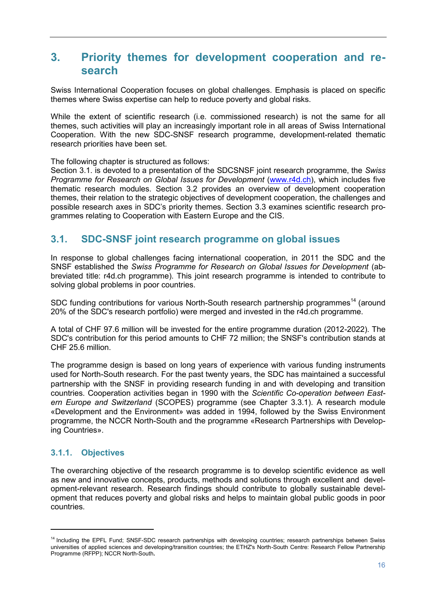# **3. Priority themes for development cooperation and research**

Swiss International Cooperation focuses on global challenges. Emphasis is placed on specific themes where Swiss expertise can help to reduce poverty and global risks.

While the extent of scientific research (i.e. commissioned research) is not the same for all themes, such activities will play an increasingly important role in all areas of Swiss International Cooperation. With the new SDC-SNSF research programme, development-related thematic research priorities have been set.

The following chapter is structured as follows:

Section 3.1. is devoted to a presentation of the SDCSNSF joint research programme, the *Swiss Programme for Research on Global Issues for Development (www.r4d.ch), which includes five* thematic research modules. Section 3.2 provides an overview of development cooperation themes, their relation to the strategic objectives of development cooperation, the challenges and possible research axes in SDC's priority themes. Section 3.3 examines scientific research programmes relating to Cooperation with Eastern Europe and the CIS.

### **3.1. SDC-SNSF joint research programme on global issues**

In response to global challenges facing international cooperation, in 2011 the SDC and the SNSF established the *Swiss Programme for Research on Global Issues for Development* (abbreviated title: r4d.ch programme). This joint research programme is intended to contribute to solving global problems in poor countries.

SDC funding contributions for various North-South research partnership programmes<sup>14</sup> (around 20% of the SDC's research portfolio) were merged and invested in the r4d.ch programme.

A total of CHF 97.6 million will be invested for the entire programme duration (2012-2022). The SDC's contribution for this period amounts to CHF 72 million; the SNSF's contribution stands at CHF 25.6 million.

The programme design is based on long years of experience with various funding instruments used for North-South research. For the past twenty years, the SDC has maintained a successful partnership with the SNSF in providing research funding in and with developing and transition countries. Cooperation activities began in 1990 with the *Scientific Co-operation between Eastern Europe and Switzerland* (SCOPES) programme (see Chapter 3.3.1). A research module «Development and the Environment» was added in 1994, followed by the Swiss Environment programme, the NCCR North-South and the programme «Research Partnerships with Developing Countries».

### **3.1.1. Objectives**

 $\overline{a}$ 

The overarching objective of the research programme is to develop scientific evidence as well as new and innovative concepts, products, methods and solutions through excellent and development-relevant research. Research findings should contribute to globally sustainable development that reduces poverty and global risks and helps to maintain global public goods in poor countries.

<sup>&</sup>lt;sup>14</sup> Including the EPFL Fund; SNSF-SDC research partnerships with developing countries; research partnerships between Swiss universities of applied sciences and developing/transition countries; the ETHZ's North-South Centre: Research Fellow Partnership Programme (RFPP); NCCR North-South**.**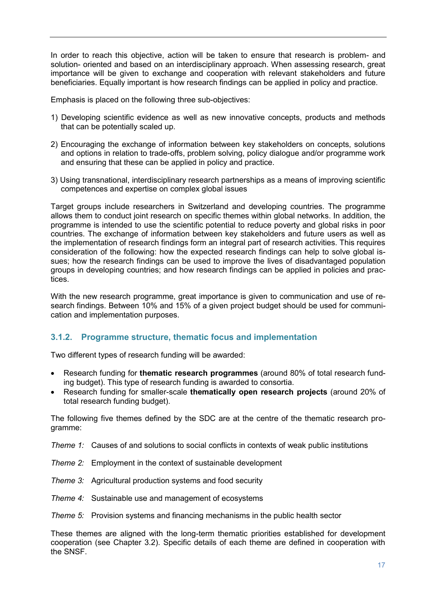In order to reach this objective, action will be taken to ensure that research is problem- and solution- oriented and based on an interdisciplinary approach. When assessing research, great importance will be given to exchange and cooperation with relevant stakeholders and future beneficiaries. Equally important is how research findings can be applied in policy and practice.

Emphasis is placed on the following three sub-objectives:

- 1) Developing scientific evidence as well as new innovative concepts, products and methods that can be potentially scaled up.
- 2) Encouraging the exchange of information between key stakeholders on concepts, solutions and options in relation to trade-offs, problem solving, policy dialogue and/or programme work and ensuring that these can be applied in policy and practice.
- 3) Using transnational, interdisciplinary research partnerships as a means of improving scientific competences and expertise on complex global issues

Target groups include researchers in Switzerland and developing countries. The programme allows them to conduct joint research on specific themes within global networks. In addition, the programme is intended to use the scientific potential to reduce poverty and global risks in poor countries. The exchange of information between key stakeholders and future users as well as the implementation of research findings form an integral part of research activities. This requires consideration of the following: how the expected research findings can help to solve global issues; how the research findings can be used to improve the lives of disadvantaged population groups in developing countries; and how research findings can be applied in policies and practices.

With the new research programme, great importance is given to communication and use of research findings. Between 10% and 15% of a given project budget should be used for communication and implementation purposes.

#### **3.1.2. Programme structure, thematic focus and implementation**

Two different types of research funding will be awarded:

- Research funding for **thematic research programmes** (around 80% of total research funding budget). This type of research funding is awarded to consortia.
- Research funding for smaller-scale **thematically open research projects** (around 20% of total research funding budget).

The following five themes defined by the SDC are at the centre of the thematic research programme:

- *Theme 1:* Causes of and solutions to social conflicts in contexts of weak public institutions
- *Theme 2:* Employment in the context of sustainable development
- *Theme 3:* Agricultural production systems and food security
- *Theme 4:* Sustainable use and management of ecosystems

*Theme 5:* Provision systems and financing mechanisms in the public health sector

These themes are aligned with the long-term thematic priorities established for development cooperation (see Chapter 3.2). Specific details of each theme are defined in cooperation with the SNSF.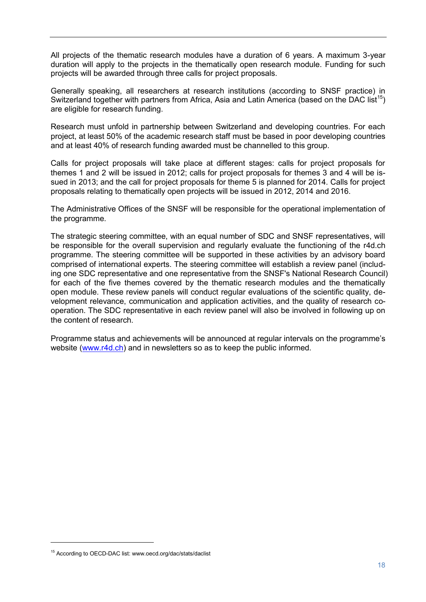All projects of the thematic research modules have a duration of 6 years. A maximum 3-year duration will apply to the projects in the thematically open research module. Funding for such projects will be awarded through three calls for project proposals.

Generally speaking, all researchers at research institutions (according to SNSF practice) in Switzerland together with partners from Africa, Asia and Latin America (based on the DAC list<sup>15</sup>) are eligible for research funding.

Research must unfold in partnership between Switzerland and developing countries. For each project, at least 50% of the academic research staff must be based in poor developing countries and at least 40% of research funding awarded must be channelled to this group.

Calls for project proposals will take place at different stages: calls for project proposals for themes 1 and 2 will be issued in 2012; calls for project proposals for themes 3 and 4 will be issued in 2013; and the call for project proposals for theme 5 is planned for 2014. Calls for project proposals relating to thematically open projects will be issued in 2012, 2014 and 2016.

The Administrative Offices of the SNSF will be responsible for the operational implementation of the programme.

The strategic steering committee, with an equal number of SDC and SNSF representatives, will be responsible for the overall supervision and regularly evaluate the functioning of the r4d.ch programme. The steering committee will be supported in these activities by an advisory board comprised of international experts. The steering committee will establish a review panel (including one SDC representative and one representative from the SNSF's National Research Council) for each of the five themes covered by the thematic research modules and the thematically open module. These review panels will conduct regular evaluations of the scientific quality, development relevance, communication and application activities, and the quality of research cooperation. The SDC representative in each review panel will also be involved in following up on the content of research.

Programme status and achievements will be announced at regular intervals on the programme's website (www.r4d.ch) and in newsletters so as to keep the public informed.

<sup>&</sup>lt;sup>15</sup> According to OECD-DAC list: www.oecd.org/dac/stats/daclist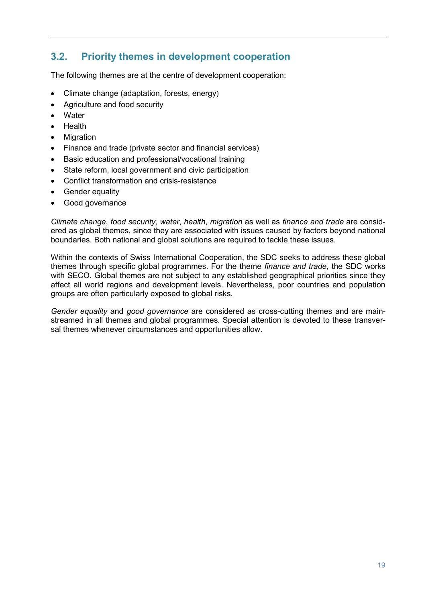# **3.2. Priority themes in development cooperation**

The following themes are at the centre of development cooperation:

- Climate change (adaptation, forests, energy)
- Agriculture and food security
- Water
- Health
- Migration
- Finance and trade (private sector and financial services)
- Basic education and professional/vocational training
- State reform, local government and civic participation
- Conflict transformation and crisis-resistance
- Gender equality
- Good governance

*Climate change*, *food security*, *water*, *health*, *migration* as well as *finance and trade* are considered as global themes, since they are associated with issues caused by factors beyond national boundaries. Both national and global solutions are required to tackle these issues.

Within the contexts of Swiss International Cooperation, the SDC seeks to address these global themes through specific global programmes. For the theme *finance and trade*, the SDC works with SECO. Global themes are not subject to any established geographical priorities since they affect all world regions and development levels. Nevertheless, poor countries and population groups are often particularly exposed to global risks.

*Gender equality* and *good governance* are considered as cross-cutting themes and are mainstreamed in all themes and global programmes. Special attention is devoted to these transversal themes whenever circumstances and opportunities allow.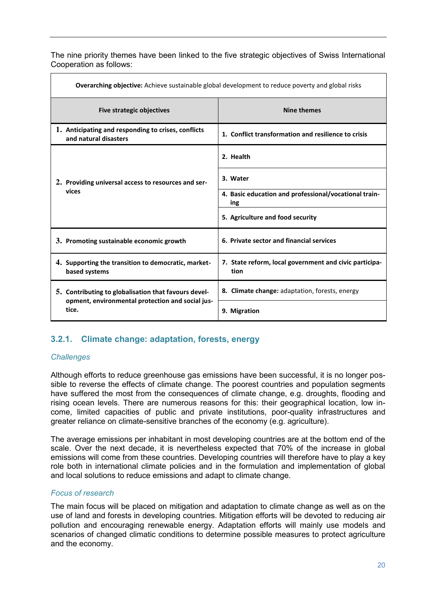The nine priority themes have been linked to the five strategic objectives of Swiss International Cooperation as follows:

| <b>Overarching objective:</b> Achieve sustainable global development to reduce poverty and global risks  |                                                                          |  |
|----------------------------------------------------------------------------------------------------------|--------------------------------------------------------------------------|--|
| <b>Five strategic objectives</b>                                                                         | Nine themes                                                              |  |
| 1. Anticipating and responding to crises, conflicts<br>and natural disasters                             | 1. Conflict transformation and resilience to crisis                      |  |
|                                                                                                          | 2. Health                                                                |  |
| 2. Providing universal access to resources and ser-<br>vices                                             | 3. Water<br>4. Basic education and professional/vocational train-<br>ing |  |
|                                                                                                          | 5. Agriculture and food security                                         |  |
| 3. Promoting sustainable economic growth                                                                 | 6. Private sector and financial services                                 |  |
| 4. Supporting the transition to democratic, market-<br>based systems                                     | 7. State reform, local government and civic participa-<br>tion           |  |
| 5. Contributing to globalisation that favours devel-<br>opment, environmental protection and social jus- | 8. Climate change: adaptation, forests, energy                           |  |
| tice.                                                                                                    | 9. Migration                                                             |  |

### **3.2.1. Climate change: adaptation, forests, energy**

#### *Challenges*

Although efforts to reduce greenhouse gas emissions have been successful, it is no longer possible to reverse the effects of climate change. The poorest countries and population segments have suffered the most from the consequences of climate change, e.g. droughts, flooding and rising ocean levels. There are numerous reasons for this: their geographical location, low income, limited capacities of public and private institutions, poor-quality infrastructures and greater reliance on climate-sensitive branches of the economy (e.g. agriculture).

The average emissions per inhabitant in most developing countries are at the bottom end of the scale. Over the next decade, it is nevertheless expected that 70% of the increase in global emissions will come from these countries. Developing countries will therefore have to play a key role both in international climate policies and in the formulation and implementation of global and local solutions to reduce emissions and adapt to climate change.

#### *Focus of research*

The main focus will be placed on mitigation and adaptation to climate change as well as on the use of land and forests in developing countries. Mitigation efforts will be devoted to reducing air pollution and encouraging renewable energy. Adaptation efforts will mainly use models and scenarios of changed climatic conditions to determine possible measures to protect agriculture and the economy.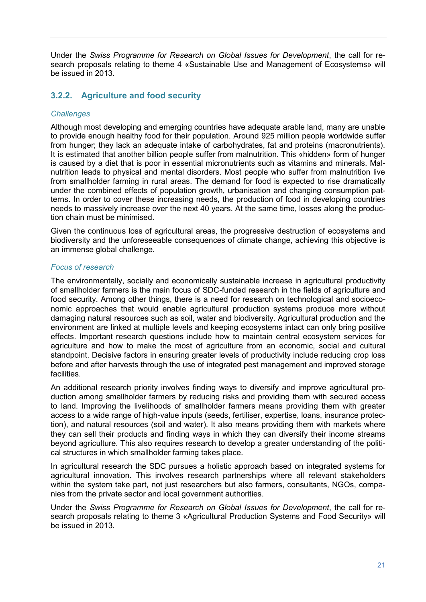Under the *Swiss Programme for Research on Global Issues for Development*, the call for research proposals relating to theme 4 «Sustainable Use and Management of Ecosystems» will be issued in 2013.

### **3.2.2. Agriculture and food security**

#### *Challenges*

Although most developing and emerging countries have adequate arable land, many are unable to provide enough healthy food for their population. Around 925 million people worldwide suffer from hunger; they lack an adequate intake of carbohydrates, fat and proteins (macronutrients). It is estimated that another billion people suffer from malnutrition. This «hidden» form of hunger is caused by a diet that is poor in essential micronutrients such as vitamins and minerals. Malnutrition leads to physical and mental disorders. Most people who suffer from malnutrition live from smallholder farming in rural areas. The demand for food is expected to rise dramatically under the combined effects of population growth, urbanisation and changing consumption patterns. In order to cover these increasing needs, the production of food in developing countries needs to massively increase over the next 40 years. At the same time, losses along the production chain must be minimised.

Given the continuous loss of agricultural areas, the progressive destruction of ecosystems and biodiversity and the unforeseeable consequences of climate change, achieving this objective is an immense global challenge.

#### *Focus of research*

The environmentally, socially and economically sustainable increase in agricultural productivity of smallholder farmers is the main focus of SDC-funded research in the fields of agriculture and food security. Among other things, there is a need for research on technological and socioeconomic approaches that would enable agricultural production systems produce more without damaging natural resources such as soil, water and biodiversity. Agricultural production and the environment are linked at multiple levels and keeping ecosystems intact can only bring positive effects. Important research questions include how to maintain central ecosystem services for agriculture and how to make the most of agriculture from an economic, social and cultural standpoint. Decisive factors in ensuring greater levels of productivity include reducing crop loss before and after harvests through the use of integrated pest management and improved storage facilities.

An additional research priority involves finding ways to diversify and improve agricultural production among smallholder farmers by reducing risks and providing them with secured access to land. Improving the livelihoods of smallholder farmers means providing them with greater access to a wide range of high-value inputs (seeds, fertiliser, expertise, loans, insurance protection), and natural resources (soil and water). It also means providing them with markets where they can sell their products and finding ways in which they can diversify their income streams beyond agriculture. This also requires research to develop a greater understanding of the political structures in which smallholder farming takes place.

In agricultural research the SDC pursues a holistic approach based on integrated systems for agricultural innovation. This involves research partnerships where all relevant stakeholders within the system take part, not just researchers but also farmers, consultants, NGOs, companies from the private sector and local government authorities.

Under the *Swiss Programme for Research on Global Issues for Development*, the call for research proposals relating to theme 3 «Agricultural Production Systems and Food Security» will be issued in 2013.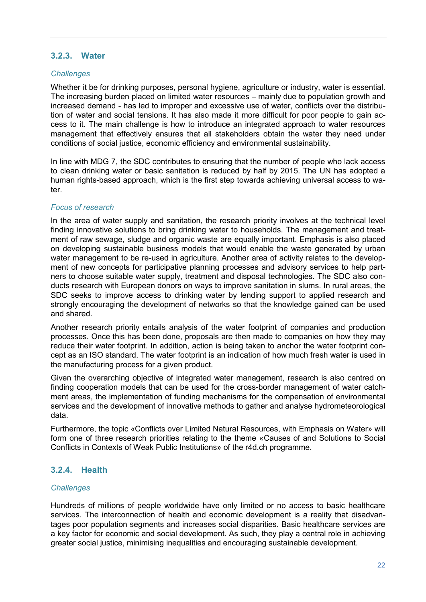#### **3.2.3. Water**

#### *Challenges*

Whether it be for drinking purposes, personal hygiene, agriculture or industry, water is essential. The increasing burden placed on limited water resources – mainly due to population growth and increased demand - has led to improper and excessive use of water, conflicts over the distribution of water and social tensions. It has also made it more difficult for poor people to gain access to it. The main challenge is how to introduce an integrated approach to water resources management that effectively ensures that all stakeholders obtain the water they need under conditions of social justice, economic efficiency and environmental sustainability.

In line with MDG 7, the SDC contributes to ensuring that the number of people who lack access to clean drinking water or basic sanitation is reduced by half by 2015. The UN has adopted a human rights-based approach, which is the first step towards achieving universal access to water.

#### *Focus of research*

In the area of water supply and sanitation, the research priority involves at the technical level finding innovative solutions to bring drinking water to households. The management and treatment of raw sewage, sludge and organic waste are equally important. Emphasis is also placed on developing sustainable business models that would enable the waste generated by urban water management to be re-used in agriculture. Another area of activity relates to the development of new concepts for participative planning processes and advisory services to help partners to choose suitable water supply, treatment and disposal technologies. The SDC also conducts research with European donors on ways to improve sanitation in slums. In rural areas, the SDC seeks to improve access to drinking water by lending support to applied research and strongly encouraging the development of networks so that the knowledge gained can be used and shared.

Another research priority entails analysis of the water footprint of companies and production processes. Once this has been done, proposals are then made to companies on how they may reduce their water footprint. In addition, action is being taken to anchor the water footprint concept as an ISO standard. The water footprint is an indication of how much fresh water is used in the manufacturing process for a given product.

Given the overarching objective of integrated water management, research is also centred on finding cooperation models that can be used for the cross-border management of water catchment areas, the implementation of funding mechanisms for the compensation of environmental services and the development of innovative methods to gather and analyse hydrometeorological data.

Furthermore, the topic «Conflicts over Limited Natural Resources, with Emphasis on Water» will form one of three research priorities relating to the theme «Causes of and Solutions to Social Conflicts in Contexts of Weak Public Institutions» of the r4d.ch programme.

#### **3.2.4. Health**

#### *Challenges*

Hundreds of millions of people worldwide have only limited or no access to basic healthcare services. The interconnection of health and economic development is a reality that disadvantages poor population segments and increases social disparities. Basic healthcare services are a key factor for economic and social development. As such, they play a central role in achieving greater social justice, minimising inequalities and encouraging sustainable development.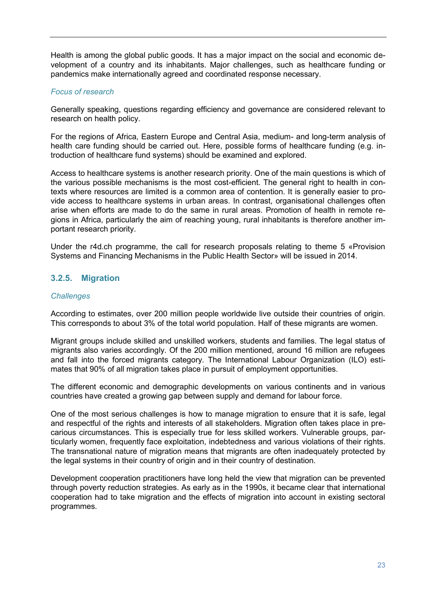Health is among the global public goods. It has a major impact on the social and economic development of a country and its inhabitants. Major challenges, such as healthcare funding or pandemics make internationally agreed and coordinated response necessary.

#### *Focus of research*

Generally speaking, questions regarding efficiency and governance are considered relevant to research on health policy.

For the regions of Africa, Eastern Europe and Central Asia, medium- and long-term analysis of health care funding should be carried out. Here, possible forms of healthcare funding (e.g. introduction of healthcare fund systems) should be examined and explored.

Access to healthcare systems is another research priority. One of the main questions is which of the various possible mechanisms is the most cost-efficient. The general right to health in contexts where resources are limited is a common area of contention. It is generally easier to provide access to healthcare systems in urban areas. In contrast, organisational challenges often arise when efforts are made to do the same in rural areas. Promotion of health in remote regions in Africa, particularly the aim of reaching young, rural inhabitants is therefore another important research priority.

Under the r4d.ch programme, the call for research proposals relating to theme 5 «Provision Systems and Financing Mechanisms in the Public Health Sector» will be issued in 2014.

#### **3.2.5. Migration**

#### *Challenges*

According to estimates, over 200 million people worldwide live outside their countries of origin. This corresponds to about 3% of the total world population. Half of these migrants are women.

Migrant groups include skilled and unskilled workers, students and families. The legal status of migrants also varies accordingly. Of the 200 million mentioned, around 16 million are refugees and fall into the forced migrants category. The International Labour Organization (ILO) estimates that 90% of all migration takes place in pursuit of employment opportunities.

The different economic and demographic developments on various continents and in various countries have created a growing gap between supply and demand for labour force.

One of the most serious challenges is how to manage migration to ensure that it is safe, legal and respectful of the rights and interests of all stakeholders. Migration often takes place in precarious circumstances. This is especially true for less skilled workers. Vulnerable groups, particularly women, frequently face exploitation, indebtedness and various violations of their rights. The transnational nature of migration means that migrants are often inadequately protected by the legal systems in their country of origin and in their country of destination.

Development cooperation practitioners have long held the view that migration can be prevented through poverty reduction strategies. As early as in the 1990s, it became clear that international cooperation had to take migration and the effects of migration into account in existing sectoral programmes.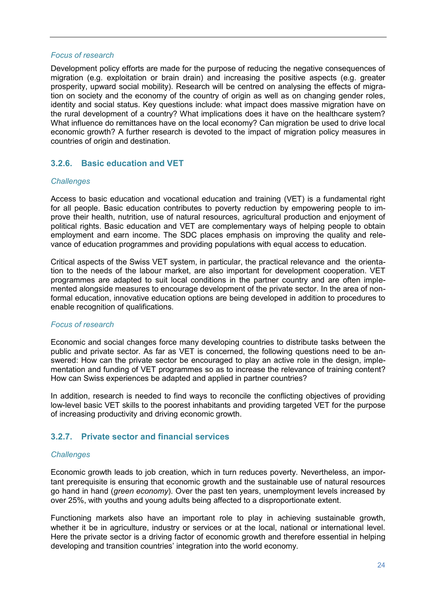#### *Focus of research*

Development policy efforts are made for the purpose of reducing the negative consequences of migration (e.g. exploitation or brain drain) and increasing the positive aspects (e.g. greater prosperity, upward social mobility). Research will be centred on analysing the effects of migration on society and the economy of the country of origin as well as on changing gender roles, identity and social status. Key questions include: what impact does massive migration have on the rural development of a country? What implications does it have on the healthcare system? What influence do remittances have on the local economy? Can migration be used to drive local economic growth? A further research is devoted to the impact of migration policy measures in countries of origin and destination.

#### **3.2.6. Basic education and VET**

#### *Challenges*

Access to basic education and vocational education and training (VET) is a fundamental right for all people. Basic education contributes to poverty reduction by empowering people to improve their health, nutrition, use of natural resources, agricultural production and enjoyment of political rights. Basic education and VET are complementary ways of helping people to obtain employment and earn income. The SDC places emphasis on improving the quality and relevance of education programmes and providing populations with equal access to education.

Critical aspects of the Swiss VET system, in particular, the practical relevance and the orientation to the needs of the labour market, are also important for development cooperation. VET programmes are adapted to suit local conditions in the partner country and are often implemented alongside measures to encourage development of the private sector. In the area of nonformal education, innovative education options are being developed in addition to procedures to enable recognition of qualifications.

#### *Focus of research*

Economic and social changes force many developing countries to distribute tasks between the public and private sector. As far as VET is concerned, the following questions need to be answered: How can the private sector be encouraged to play an active role in the design, implementation and funding of VET programmes so as to increase the relevance of training content? How can Swiss experiences be adapted and applied in partner countries?

In addition, research is needed to find ways to reconcile the conflicting objectives of providing low-level basic VET skills to the poorest inhabitants and providing targeted VET for the purpose of increasing productivity and driving economic growth.

#### **3.2.7. Private sector and financial services**

#### *Challenges*

Economic growth leads to job creation, which in turn reduces poverty. Nevertheless, an important prerequisite is ensuring that economic growth and the sustainable use of natural resources go hand in hand (*green economy*). Over the past ten years, unemployment levels increased by over 25%, with youths and young adults being affected to a disproportionate extent.

Functioning markets also have an important role to play in achieving sustainable growth, whether it be in agriculture, industry or services or at the local, national or international level. Here the private sector is a driving factor of economic growth and therefore essential in helping developing and transition countries' integration into the world economy.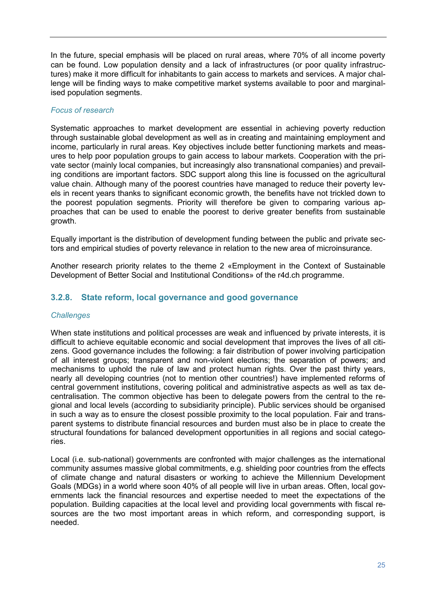In the future, special emphasis will be placed on rural areas, where 70% of all income poverty can be found. Low population density and a lack of infrastructures (or poor quality infrastructures) make it more difficult for inhabitants to gain access to markets and services. A major challenge will be finding ways to make competitive market systems available to poor and marginalised population segments.

#### *Focus of research*

Systematic approaches to market development are essential in achieving poverty reduction through sustainable global development as well as in creating and maintaining employment and income, particularly in rural areas. Key objectives include better functioning markets and measures to help poor population groups to gain access to labour markets. Cooperation with the private sector (mainly local companies, but increasingly also transnational companies) and prevailing conditions are important factors. SDC support along this line is focussed on the agricultural value chain. Although many of the poorest countries have managed to reduce their poverty levels in recent years thanks to significant economic growth, the benefits have not trickled down to the poorest population segments. Priority will therefore be given to comparing various approaches that can be used to enable the poorest to derive greater benefits from sustainable growth.

Equally important is the distribution of development funding between the public and private sectors and empirical studies of poverty relevance in relation to the new area of microinsurance.

Another research priority relates to the theme 2 «Employment in the Context of Sustainable Development of Better Social and Institutional Conditions» of the r4d.ch programme.

#### **3.2.8. State reform, local governance and good governance**

#### *Challenges*

When state institutions and political processes are weak and influenced by private interests, it is difficult to achieve equitable economic and social development that improves the lives of all citizens. Good governance includes the following: a fair distribution of power involving participation of all interest groups; transparent and non-violent elections; the separation of powers; and mechanisms to uphold the rule of law and protect human rights. Over the past thirty years, nearly all developing countries (not to mention other countries!) have implemented reforms of central government institutions, covering political and administrative aspects as well as tax decentralisation. The common objective has been to delegate powers from the central to the regional and local levels (according to subsidiarity principle). Public services should be organised in such a way as to ensure the closest possible proximity to the local population. Fair and transparent systems to distribute financial resources and burden must also be in place to create the structural foundations for balanced development opportunities in all regions and social categories.

Local (i.e. sub-national) governments are confronted with major challenges as the international community assumes massive global commitments, e.g. shielding poor countries from the effects of climate change and natural disasters or working to achieve the Millennium Development Goals (MDGs) in a world where soon 40% of all people will live in urban areas. Often, local governments lack the financial resources and expertise needed to meet the expectations of the population. Building capacities at the local level and providing local governments with fiscal resources are the two most important areas in which reform, and corresponding support, is needed.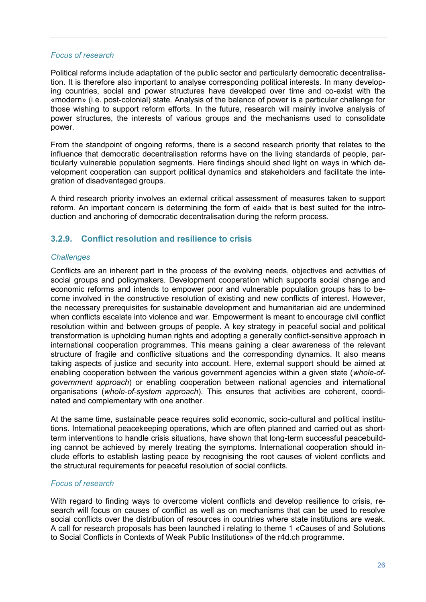#### *Focus of research*

Political reforms include adaptation of the public sector and particularly democratic decentralisation. It is therefore also important to analyse corresponding political interests. In many developing countries, social and power structures have developed over time and co-exist with the «modern» (i.e. post-colonial) state. Analysis of the balance of power is a particular challenge for those wishing to support reform efforts. In the future, research will mainly involve analysis of power structures, the interests of various groups and the mechanisms used to consolidate power.

From the standpoint of ongoing reforms, there is a second research priority that relates to the influence that democratic decentralisation reforms have on the living standards of people, particularly vulnerable population segments. Here findings should shed light on ways in which development cooperation can support political dynamics and stakeholders and facilitate the integration of disadvantaged groups.

A third research priority involves an external critical assessment of measures taken to support reform. An important concern is determining the form of «aid» that is best suited for the introduction and anchoring of democratic decentralisation during the reform process.

#### **3.2.9. Conflict resolution and resilience to crisis**

#### *Challenges*

Conflicts are an inherent part in the process of the evolving needs, objectives and activities of social groups and policymakers. Development cooperation which supports social change and economic reforms and intends to empower poor and vulnerable population groups has to become involved in the constructive resolution of existing and new conflicts of interest. However, the necessary prerequisites for sustainable development and humanitarian aid are undermined when conflicts escalate into violence and war. Empowerment is meant to encourage civil conflict resolution within and between groups of people. A key strategy in peaceful social and political transformation is upholding human rights and adopting a generally conflict-sensitive approach in international cooperation programmes. This means gaining a clear awareness of the relevant structure of fragile and conflictive situations and the corresponding dynamics. It also means taking aspects of justice and security into account. Here, external support should be aimed at enabling cooperation between the various government agencies within a given state (*whole-ofgovernment approach*) or enabling cooperation between national agencies and international organisations (*whole-of-system approach*). This ensures that activities are coherent, coordinated and complementary with one another.

At the same time, sustainable peace requires solid economic, socio-cultural and political institutions. International peacekeeping operations, which are often planned and carried out as shortterm interventions to handle crisis situations, have shown that long-term successful peacebuilding cannot be achieved by merely treating the symptoms. International cooperation should include efforts to establish lasting peace by recognising the root causes of violent conflicts and the structural requirements for peaceful resolution of social conflicts.

#### *Focus of research*

With regard to finding ways to overcome violent conflicts and develop resilience to crisis, research will focus on causes of conflict as well as on mechanisms that can be used to resolve social conflicts over the distribution of resources in countries where state institutions are weak. A call for research proposals has been launched i relating to theme 1 «Causes of and Solutions to Social Conflicts in Contexts of Weak Public Institutions» of the r4d.ch programme.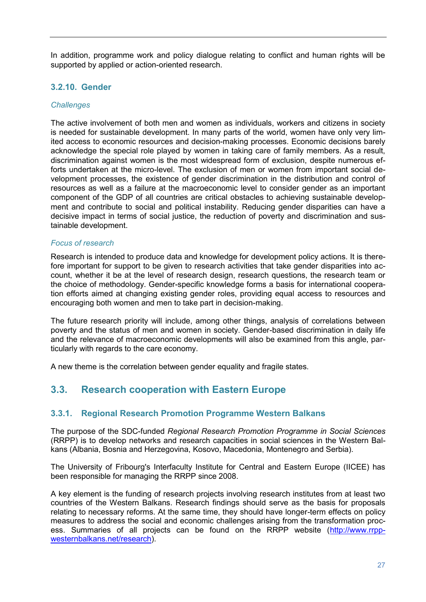In addition, programme work and policy dialogue relating to conflict and human rights will be supported by applied or action-oriented research.

#### **3.2.10. Gender**

#### *Challenges*

The active involvement of both men and women as individuals, workers and citizens in society is needed for sustainable development. In many parts of the world, women have only very limited access to economic resources and decision-making processes. Economic decisions barely acknowledge the special role played by women in taking care of family members. As a result, discrimination against women is the most widespread form of exclusion, despite numerous efforts undertaken at the micro-level. The exclusion of men or women from important social development processes, the existence of gender discrimination in the distribution and control of resources as well as a failure at the macroeconomic level to consider gender as an important component of the GDP of all countries are critical obstacles to achieving sustainable development and contribute to social and political instability. Reducing gender disparities can have a decisive impact in terms of social justice, the reduction of poverty and discrimination and sustainable development.

#### *Focus of research*

Research is intended to produce data and knowledge for development policy actions. It is therefore important for support to be given to research activities that take gender disparities into account, whether it be at the level of research design, research questions, the research team or the choice of methodology. Gender-specific knowledge forms a basis for international cooperation efforts aimed at changing existing gender roles, providing equal access to resources and encouraging both women and men to take part in decision-making.

The future research priority will include, among other things, analysis of correlations between poverty and the status of men and women in society. Gender-based discrimination in daily life and the relevance of macroeconomic developments will also be examined from this angle, particularly with regards to the care economy.

A new theme is the correlation between gender equality and fragile states.

### **3.3. Research cooperation with Eastern Europe**

#### **3.3.1. Regional Research Promotion Programme Western Balkans**

The purpose of the SDC-funded *Regional Research Promotion Programme in Social Sciences* (RRPP) is to develop networks and research capacities in social sciences in the Western Balkans (Albania, Bosnia and Herzegovina, Kosovo, Macedonia, Montenegro and Serbia).

The University of Fribourg's Interfaculty Institute for Central and Eastern Europe (IICEE) has been responsible for managing the RRPP since 2008.

A key element is the funding of research projects involving research institutes from at least two countries of the Western Balkans. Research findings should serve as the basis for proposals relating to necessary reforms. At the same time, they should have longer-term effects on policy measures to address the social and economic challenges arising from the transformation process. Summaries of all projects can be found on the RRPP website (http://www.rrppwesternbalkans.net/research).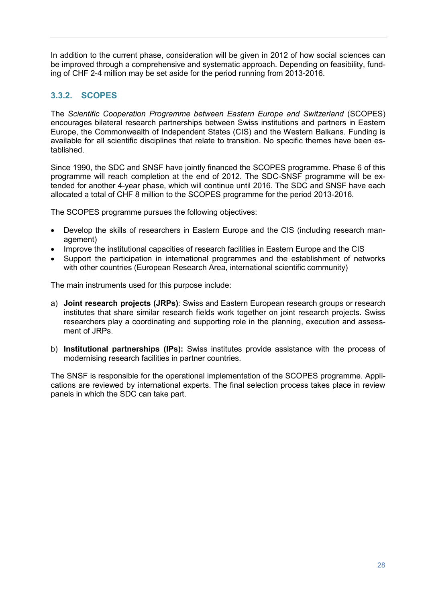In addition to the current phase, consideration will be given in 2012 of how social sciences can be improved through a comprehensive and systematic approach. Depending on feasibility, funding of CHF 2-4 million may be set aside for the period running from 2013-2016.

### **3.3.2. SCOPES**

The *Scientific Cooperation Programme between Eastern Europe and Switzerland* (SCOPES) encourages bilateral research partnerships between Swiss institutions and partners in Eastern Europe, the Commonwealth of Independent States (CIS) and the Western Balkans. Funding is available for all scientific disciplines that relate to transition. No specific themes have been established.

Since 1990, the SDC and SNSF have jointly financed the SCOPES programme. Phase 6 of this programme will reach completion at the end of 2012. The SDC-SNSF programme will be extended for another 4-year phase, which will continue until 2016. The SDC and SNSF have each allocated a total of CHF 8 million to the SCOPES programme for the period 2013-2016.

The SCOPES programme pursues the following objectives:

- Develop the skills of researchers in Eastern Europe and the CIS (including research management)
- Improve the institutional capacities of research facilities in Eastern Europe and the CIS
- Support the participation in international programmes and the establishment of networks with other countries (European Research Area, international scientific community)

The main instruments used for this purpose include:

- a) **Joint research projects (JRPs)***:* Swiss and Eastern European research groups or research institutes that share similar research fields work together on joint research projects. Swiss researchers play a coordinating and supporting role in the planning, execution and assessment of JRPs.
- b) **Institutional partnerships (IPs):** Swiss institutes provide assistance with the process of modernising research facilities in partner countries.

The SNSF is responsible for the operational implementation of the SCOPES programme. Applications are reviewed by international experts. The final selection process takes place in review panels in which the SDC can take part.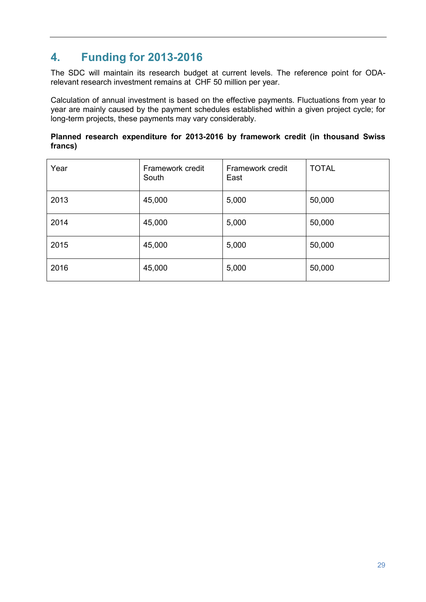# **4. Funding for 2013-2016**

The SDC will maintain its research budget at current levels. The reference point for ODArelevant research investment remains at CHF 50 million per year.

Calculation of annual investment is based on the effective payments. Fluctuations from year to year are mainly caused by the payment schedules established within a given project cycle; for long-term projects, these payments may vary considerably.

#### **Planned research expenditure for 2013-2016 by framework credit (in thousand Swiss francs)**

| Year | Framework credit<br>South | Framework credit<br>East | <b>TOTAL</b> |
|------|---------------------------|--------------------------|--------------|
| 2013 | 45,000                    | 5,000                    | 50,000       |
| 2014 | 45,000                    | 5,000                    | 50,000       |
| 2015 | 45,000                    | 5,000                    | 50,000       |
| 2016 | 45,000                    | 5,000                    | 50,000       |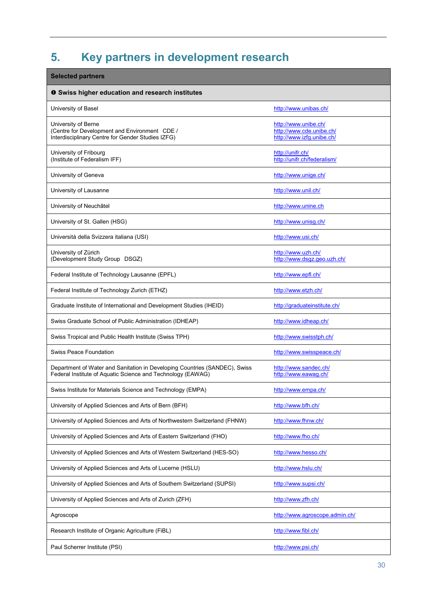# **5. Key partners in development research**

| <b>Selected partners</b>                                                                                                                  |                                                                               |
|-------------------------------------------------------------------------------------------------------------------------------------------|-------------------------------------------------------------------------------|
| <b>O</b> Swiss higher education and research institutes                                                                                   |                                                                               |
| University of Basel                                                                                                                       | http://www.unibas.ch/                                                         |
| University of Berne<br>(Centre for Development and Environment CDE /<br>Interdisciplinary Centre for Gender Studies IZFG)                 | http://www.unibe.ch/<br>http://www.cde.unibe.ch/<br>http://www.izfg.unibe.ch/ |
| University of Fribourg<br>(Institute of Federalism IFF)                                                                                   | http://unifr.ch/<br>http://unifr.ch/federalism/                               |
| University of Geneva                                                                                                                      | http://www.unige.ch/                                                          |
| University of Lausanne                                                                                                                    | http://www.unil.ch/                                                           |
| University of Neuchâtel                                                                                                                   | http://www.unine.ch                                                           |
| University of St. Gallen (HSG)                                                                                                            | http://www.unisq.ch/                                                          |
| Università della Svizzera italiana (USI)                                                                                                  | http://www.usi.ch/                                                            |
| University of Zürich<br>(Development Study Group DSGZ)                                                                                    | http://www.uzh.ch/<br>http://www.dsgz.geo.uzh.ch/                             |
| Federal Institute of Technology Lausanne (EPFL)                                                                                           | http://www.epfl.ch/                                                           |
| Federal Institute of Technology Zurich (ETHZ)                                                                                             | http://www.etzh.ch/                                                           |
| Graduate Institute of International and Development Studies (IHEID)                                                                       | http://graduateinstitute.ch/                                                  |
| Swiss Graduate School of Public Administration (IDHEAP)                                                                                   | http://www.idheap.ch/                                                         |
| Swiss Tropical and Public Health Institute (Swiss TPH)                                                                                    | http://www.swisstph.ch/                                                       |
| <b>Swiss Peace Foundation</b>                                                                                                             | http://www.swisspeace.ch/                                                     |
| Department of Water and Sanitation in Developing Countries (SANDEC), Swiss<br>Federal Institute of Aquatic Science and Technology (EAWAG) | http://www.sandec.ch/<br>http://www.eawag.ch/                                 |
| Swiss Institute for Materials Science and Technology (EMPA)                                                                               | http://www.empa.ch/                                                           |
| University of Applied Sciences and Arts of Bern (BFH)                                                                                     | http://www.bfh.ch/                                                            |
| University of Applied Sciences and Arts of Northwestern Switzerland (FHNW)                                                                | http://www.fhnw.ch/                                                           |
| University of Applied Sciences and Arts of Eastern Switzerland (FHO)                                                                      | http://www.fho.ch/                                                            |
| University of Applied Sciences and Arts of Western Switzerland (HES-SO)                                                                   | http://www.hesso.ch/                                                          |
| University of Applied Sciences and Arts of Lucerne (HSLU)                                                                                 | http://www.hslu.ch/                                                           |
| University of Applied Sciences and Arts of Southern Switzerland (SUPSI)                                                                   | http://www.supsi.ch/                                                          |
| University of Applied Sciences and Arts of Zurich (ZFH)                                                                                   | http://www.zfh.ch/                                                            |
| Agroscope                                                                                                                                 | http://www.agroscope.admin.ch/                                                |
| Research Institute of Organic Agriculture (FiBL)                                                                                          | http://www.fibl.ch/                                                           |
| Paul Scherrer Institute (PSI)                                                                                                             | http://www.psi.ch/                                                            |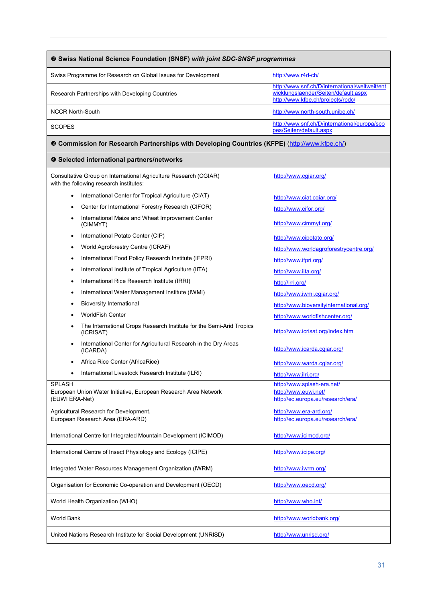#### Swiss Programme for Research on Global Issues for Development http://www.r4d-ch/ Research Partnerships with Developing Countries http://www.snf.ch/D/international/weltweit/ent wicklungslaender/Seiten/default.aspx http://www.kfpe.ch/projects/rpdc/ NCCR North-South http://www.north-south.unibe.ch/ SCOPES http://www.snf.ch/D/international/europa/sco pes/Seiten/default.aspx **Swiss National Science Foundation (SNSF)** *with joint SDC-SNSF programmes* **Commission for Research Partnerships with Developing Countries (KFPE)** (http://www.kfpe.ch/) **Selected international partners/networks** Consultative Group on International Agriculture Research (CGIAR) with the following research institutes: http://www.cgiar.org/ • International Center for Tropical Agriculture (CIAT) http://www.ciat.cgiar.org/ Center for International Forestry Research (CIFOR) http://www.cifor.org/ International Maize and Wheat Improvement Center<br>(CIMMYT) http://www.cimmyt.org/ International Potato Center (CIP) http://www.cipotato.org/ World Agroforestry Centre (ICRAF) http://www.worldagroforestrycentre.org/ International Food Policy Research Institute (IFPRI) http://www.ifpri.org/ • International Institute of Tropical Agriculture (IITA) http://www.iita.org/ International Rice Research Institute (IRRI) http://irri.org/ International Water Management Institute (IWMI) http://www.iwmi.cgiar.org/ Bioversity International http://www.bioversityinternational.org/ WorldFish Center http://www.worldfishcenter.org/ The International Crops Research Institute for the Semi-Arid Tropics http://www.icrisat.org/index.htm International Center for Agricultural Research in the Dry Areas<br>(ICARDA) http://www.icarda.cgiar.org/ Africa Rice Center (AfricaRice) http://www.warda.cgiar.org/ • International Livestock Research Institute (ILRI) http://www.ilri.org/ SPLASH European Union Water Initiative, European Research Area Network (EUWI ERA-Net) http://www.splash-era.net/ http://www.euwi.net/ http://ec.europa.eu/research/era/ Agricultural Research for Development, European Research Area (ERA-ARD) http://www.era-ard.org/ http://ec.europa.eu/research/era/ International Centre for Integrated Mountain Development (ICIMOD) http://www.icimod.org/ International Centre of Insect Physiology and Ecology (ICIPE) http://www.icipe.org/

Integrated Water Resources Management Organization (IWRM) http://www.iwrm.org/

Organisation for Economic Co-operation and Development (OECD) http://www.oecd.org/

World Health Organization (WHO) http://www.who.int/

world Bank http://www.worldbank.org/

United Nations Research Institute for Social Development (UNRISD) http://www.unrisd.org/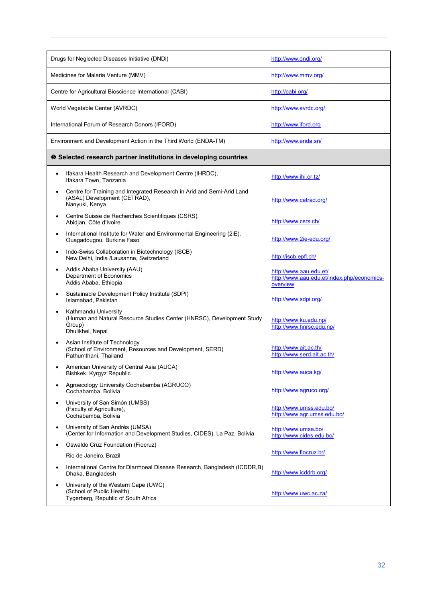| Drugs for Neglected Diseases Initiative (DNDi)                                                                              | http://www.dndi.org/                                                             |
|-----------------------------------------------------------------------------------------------------------------------------|----------------------------------------------------------------------------------|
| Medicines for Malaria Venture (MMV)                                                                                         | http://www.mmv.org/                                                              |
| Centre for Agricultural Bioscience International (CABI)                                                                     | http://cabi.org/                                                                 |
| World Vegetable Center (AVRDC)                                                                                              | http://www.avrdc.org/                                                            |
| International Forum of Research Donors (IFORD)                                                                              | http://www.iford.org                                                             |
| Environment and Development Action in the Third World (ENDA-TM)                                                             | http://www.enda.sn/                                                              |
| <b>O</b> Selected research partner institutions in developing countries                                                     |                                                                                  |
| Ifakara Health Research and Development Centre (IHRDC),<br>Ifakara Town, Tanzania                                           | http://www.ihi.or.tz/                                                            |
| Centre for Training and Integrated Research in Arid and Semi-Arid Land<br>(ASAL) Development (CETRAD),<br>Nanyuki, Kenya    | http://www.cetrad.org/                                                           |
| Centre Suisse de Recherches Scientifiques (CSRS),<br>Abidjan, Côte d'Ivoire                                                 | http://www.csrs.ch/                                                              |
| International Institute for Water and Environmental Engineering (2iE),<br>Ouagadougou, Burkina Faso                         | http://www.2ie-edu.org/                                                          |
| Indo-Swiss Collaboration in Biotechnology (ISCB)<br>New Delhi, India /Lausanne, Switzerland                                 | http://iscb.epfl.ch/                                                             |
| Addis Ababa University (AAU)<br>Department of Economics<br>Addis Ababa, Ethiopia                                            | http://www.aau.edu.et/<br>http://www.aau.edu.et/index.php/economics-<br>overview |
| Sustainable Development Policy Institute (SDPI)<br>Islamabad, Pakistan                                                      | http://www.sdpi.org/                                                             |
| Kathmandu University<br>(Human and Natural Resource Studies Center (HNRSC), Development Study<br>Group)<br>Dhulikhel, Nepal | http://www.ku.edu.np/<br>http://www.hnrsc.edu.np/                                |
| Asian Institute of Technology<br>(School of Environment, Resources and Development, SERD)<br>Pathumthani, Thailand          | http://www.ait.ac.th/<br>http://www.serd.ait.ac.th/                              |
| American University of Central Asia (AUCA)<br>Bishkek, Kyrgyz Republic                                                      | http://www.auca.kg/                                                              |
| Agroecology University Cochabamba (AGRUCO)<br>Cochabamba, Bolivia                                                           | http://www.agruco.org/                                                           |
| University of San Simón (UMSS)<br>(Faculty of Agriculture).<br>Cochabamba, Bolivia                                          | http://www.umss.edu.bo/<br>http://www.aqr.umss.edu.bo/                           |
| University of San Andrés (UMSA)<br>(Center for Information and Development Studies, CIDES), La Paz, Bolivia                 | http://www.umsa.bo/<br>http://www.cides.edu.bo/                                  |
| Oswaldo Cruz Foundation (Fiocruz)                                                                                           |                                                                                  |
| Rio de Janeiro, Brazil                                                                                                      | http://www.fiocruz.br/                                                           |
| International Centre for Diarrhoeal Disease Research, Bangladesh (ICDDR,B)<br>Dhaka, Bangladesh                             | http://www.icddrb.org/                                                           |
| University of the Western Cape (UWC)<br>(School of Public Health)<br>Tygerberg, Republic of South Africa                    | http://www.uwc.ac.za/                                                            |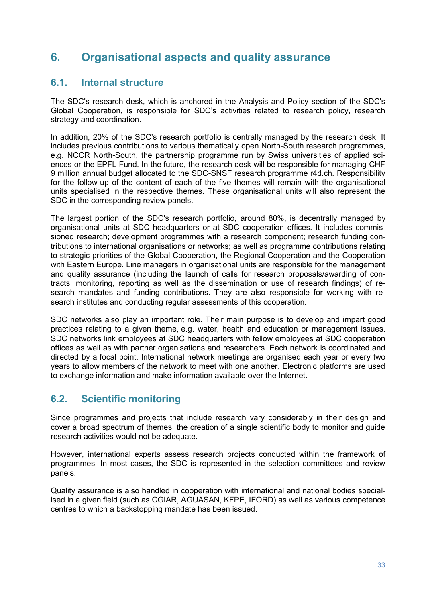# **6. Organisational aspects and quality assurance**

# **6.1. Internal structure**

The SDC's research desk, which is anchored in the Analysis and Policy section of the SDC's Global Cooperation, is responsible for SDC's activities related to research policy, research strategy and coordination.

In addition, 20% of the SDC's research portfolio is centrally managed by the research desk. It includes previous contributions to various thematically open North-South research programmes, e.g. NCCR North-South, the partnership programme run by Swiss universities of applied sciences or the EPFL Fund. In the future, the research desk will be responsible for managing CHF 9 million annual budget allocated to the SDC-SNSF research programme r4d.ch. Responsibility for the follow-up of the content of each of the five themes will remain with the organisational units specialised in the respective themes. These organisational units will also represent the SDC in the corresponding review panels.

The largest portion of the SDC's research portfolio, around 80%, is decentrally managed by organisational units at SDC headquarters or at SDC cooperation offices. It includes commissioned research; development programmes with a research component; research funding contributions to international organisations or networks; as well as programme contributions relating to strategic priorities of the Global Cooperation, the Regional Cooperation and the Cooperation with Eastern Europe. Line managers in organisational units are responsible for the management and quality assurance (including the launch of calls for research proposals/awarding of contracts, monitoring, reporting as well as the dissemination or use of research findings) of research mandates and funding contributions. They are also responsible for working with research institutes and conducting regular assessments of this cooperation.

SDC networks also play an important role. Their main purpose is to develop and impart good practices relating to a given theme, e.g. water, health and education or management issues. SDC networks link employees at SDC headquarters with fellow employees at SDC cooperation offices as well as with partner organisations and researchers. Each network is coordinated and directed by a focal point. International network meetings are organised each year or every two years to allow members of the network to meet with one another. Electronic platforms are used to exchange information and make information available over the Internet.

# **6.2. Scientific monitoring**

Since programmes and projects that include research vary considerably in their design and cover a broad spectrum of themes, the creation of a single scientific body to monitor and guide research activities would not be adequate.

However, international experts assess research projects conducted within the framework of programmes. In most cases, the SDC is represented in the selection committees and review panels.

Quality assurance is also handled in cooperation with international and national bodies specialised in a given field (such as CGIAR, AGUASAN, KFPE, IFORD) as well as various competence centres to which a backstopping mandate has been issued.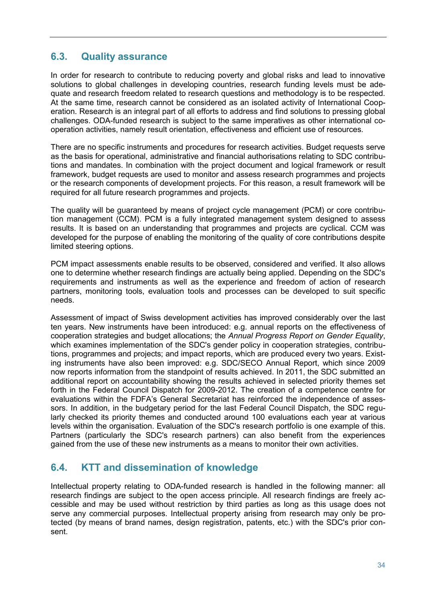# **6.3. Quality assurance**

In order for research to contribute to reducing poverty and global risks and lead to innovative solutions to global challenges in developing countries, research funding levels must be adequate and research freedom related to research questions and methodology is to be respected. At the same time, research cannot be considered as an isolated activity of International Cooperation. Research is an integral part of all efforts to address and find solutions to pressing global challenges. ODA-funded research is subject to the same imperatives as other international cooperation activities, namely result orientation, effectiveness and efficient use of resources.

There are no specific instruments and procedures for research activities. Budget requests serve as the basis for operational, administrative and financial authorisations relating to SDC contributions and mandates. In combination with the project document and logical framework or result framework, budget requests are used to monitor and assess research programmes and projects or the research components of development projects. For this reason, a result framework will be required for all future research programmes and projects.

The quality will be guaranteed by means of project cycle management (PCM) or core contribution management (CCM). PCM is a fully integrated management system designed to assess results. It is based on an understanding that programmes and projects are cyclical. CCM was developed for the purpose of enabling the monitoring of the quality of core contributions despite limited steering options.

PCM impact assessments enable results to be observed, considered and verified. It also allows one to determine whether research findings are actually being applied. Depending on the SDC's requirements and instruments as well as the experience and freedom of action of research partners, monitoring tools, evaluation tools and processes can be developed to suit specific needs.

Assessment of impact of Swiss development activities has improved considerably over the last ten years. New instruments have been introduced: e.g. annual reports on the effectiveness of cooperation strategies and budget allocations; the *Annual Progress Report on Gender Equality*, which examines implementation of the SDC's gender policy in cooperation strategies, contributions, programmes and projects; and impact reports, which are produced every two years. Existing instruments have also been improved: e.g. SDC/SECO Annual Report, which since 2009 now reports information from the standpoint of results achieved. In 2011, the SDC submitted an additional report on accountability showing the results achieved in selected priority themes set forth in the Federal Council Dispatch for 2009-2012. The creation of a competence centre for evaluations within the FDFA's General Secretariat has reinforced the independence of assessors. In addition, in the budgetary period for the last Federal Council Dispatch, the SDC regularly checked its priority themes and conducted around 100 evaluations each year at various levels within the organisation. Evaluation of the SDC's research portfolio is one example of this. Partners (particularly the SDC's research partners) can also benefit from the experiences gained from the use of these new instruments as a means to monitor their own activities.

### **6.4. KTT and dissemination of knowledge**

Intellectual property relating to ODA-funded research is handled in the following manner: all research findings are subject to the open access principle. All research findings are freely accessible and may be used without restriction by third parties as long as this usage does not serve any commercial purposes. Intellectual property arising from research may only be protected (by means of brand names, design registration, patents, etc.) with the SDC's prior consent.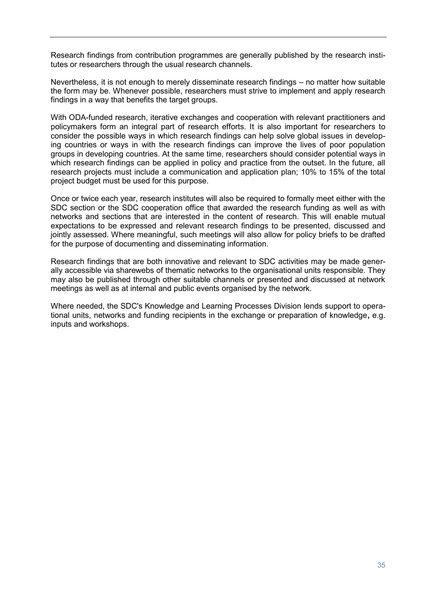Research findings from contribution programmes are generally published by the research institutes or researchers through the usual research channels.

Nevertheless, it is not enough to merely disseminate research findings – no matter how suitable the form may be. Whenever possible, researchers must strive to implement and apply research findings in a way that benefits the target groups.

With ODA-funded research, iterative exchanges and cooperation with relevant practitioners and policymakers form an integral part of research efforts. It is also important for researchers to consider the possible ways in which research findings can help solve global issues in developing countries or ways in with the research findings can improve the lives of poor population groups in developing countries. At the same time, researchers should consider potential ways in which research findings can be applied in policy and practice from the outset. In the future, all research projects must include a communication and application plan; 10% to 15% of the total project budget must be used for this purpose.

Once or twice each year, research institutes will also be required to formally meet either with the SDC section or the SDC cooperation office that awarded the research funding as well as with networks and sections that are interested in the content of research. This will enable mutual expectations to be expressed and relevant research findings to be presented, discussed and jointly assessed. Where meaningful, such meetings will also allow for policy briefs to be drafted for the purpose of documenting and disseminating information.

Research findings that are both innovative and relevant to SDC activities may be made generally accessible via sharewebs of thematic networks to the organisational units responsible. They may also be published through other suitable channels or presented and discussed at network meetings as well as at internal and public events organised by the network.

Where needed, the SDC's Knowledge and Learning Processes Division lends support to operational units, networks and funding recipients in the exchange or preparation of knowledge**,** e.g. inputs and workshops.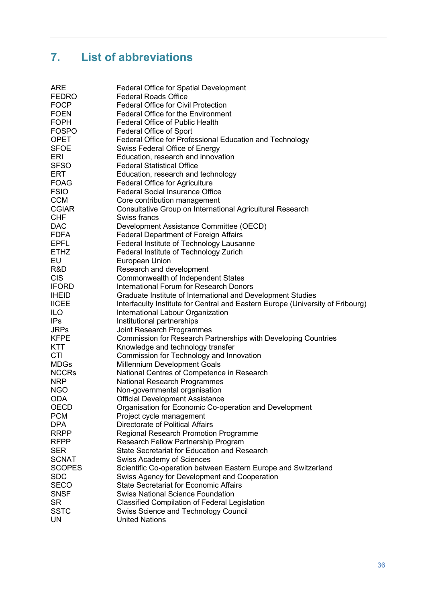# **7. List of abbreviations**

| <b>ARE</b>    | Federal Office for Spatial Development                                         |
|---------------|--------------------------------------------------------------------------------|
| <b>FEDRO</b>  | <b>Federal Roads Office</b>                                                    |
| <b>FOCP</b>   | <b>Federal Office for Civil Protection</b>                                     |
| <b>FOEN</b>   | Federal Office for the Environment                                             |
| <b>FOPH</b>   | <b>Federal Office of Public Health</b>                                         |
| <b>FOSPO</b>  | <b>Federal Office of Sport</b>                                                 |
| <b>OPET</b>   | Federal Office for Professional Education and Technology                       |
| <b>SFOE</b>   | Swiss Federal Office of Energy                                                 |
| <b>ERI</b>    | Education, research and innovation                                             |
| SFSO          | <b>Federal Statistical Office</b>                                              |
| <b>ERT</b>    | Education, research and technology                                             |
| FOAG          | Federal Office for Agriculture                                                 |
| <b>FSIO</b>   | <b>Federal Social Insurance Office</b>                                         |
| <b>CCM</b>    | Core contribution management                                                   |
| CGIAR         | Consultative Group on International Agricultural Research                      |
| <b>CHF</b>    | Swiss francs                                                                   |
| <b>DAC</b>    | Development Assistance Committee (OECD)                                        |
| <b>FDFA</b>   | <b>Federal Department of Foreign Affairs</b>                                   |
| <b>EPFL</b>   | Federal Institute of Technology Lausanne                                       |
| <b>ETHZ</b>   | Federal Institute of Technology Zurich                                         |
| EU            | European Union                                                                 |
| R&D           | Research and development                                                       |
| <b>CIS</b>    | Commonwealth of Independent States                                             |
| <b>IFORD</b>  | <b>International Forum for Research Donors</b>                                 |
| <b>IHEID</b>  |                                                                                |
|               | Graduate Institute of International and Development Studies                    |
| <b>IICEE</b>  | Interfaculty Institute for Central and Eastern Europe (University of Fribourg) |
| <b>ILO</b>    | International Labour Organization                                              |
| <b>IPs</b>    | Institutional partnerships                                                     |
| <b>JRPs</b>   | Joint Research Programmes                                                      |
| <b>KFPE</b>   | Commission for Research Partnerships with Developing Countries                 |
| <b>KTT</b>    | Knowledge and technology transfer                                              |
| <b>CTI</b>    | Commission for Technology and Innovation                                       |
| <b>MDGs</b>   | <b>Millennium Development Goals</b>                                            |
| <b>NCCRs</b>  | National Centres of Competence in Research                                     |
| <b>NRP</b>    | <b>National Research Programmes</b>                                            |
| <b>NGO</b>    | Non-governmental organisation                                                  |
| <b>ODA</b>    | <b>Official Development Assistance</b>                                         |
| <b>OECD</b>   | Organisation for Economic Co-operation and Development                         |
| <b>PCM</b>    | Project cycle management                                                       |
| <b>DPA</b>    | Directorate of Political Affairs                                               |
| <b>RRPP</b>   | Regional Research Promotion Programme                                          |
| <b>RFPP</b>   | Research Fellow Partnership Program                                            |
| <b>SER</b>    | State Secretariat for Education and Research                                   |
| <b>SCNAT</b>  | <b>Swiss Academy of Sciences</b>                                               |
| <b>SCOPES</b> | Scientific Co-operation between Eastern Europe and Switzerland                 |
| <b>SDC</b>    | Swiss Agency for Development and Cooperation                                   |
| <b>SECO</b>   | <b>State Secretariat for Economic Affairs</b>                                  |
| <b>SNSF</b>   | <b>Swiss National Science Foundation</b>                                       |
| <b>SR</b>     | <b>Classified Compilation of Federal Legislation</b>                           |
| <b>SSTC</b>   | Swiss Science and Technology Council                                           |
| <b>UN</b>     | <b>United Nations</b>                                                          |